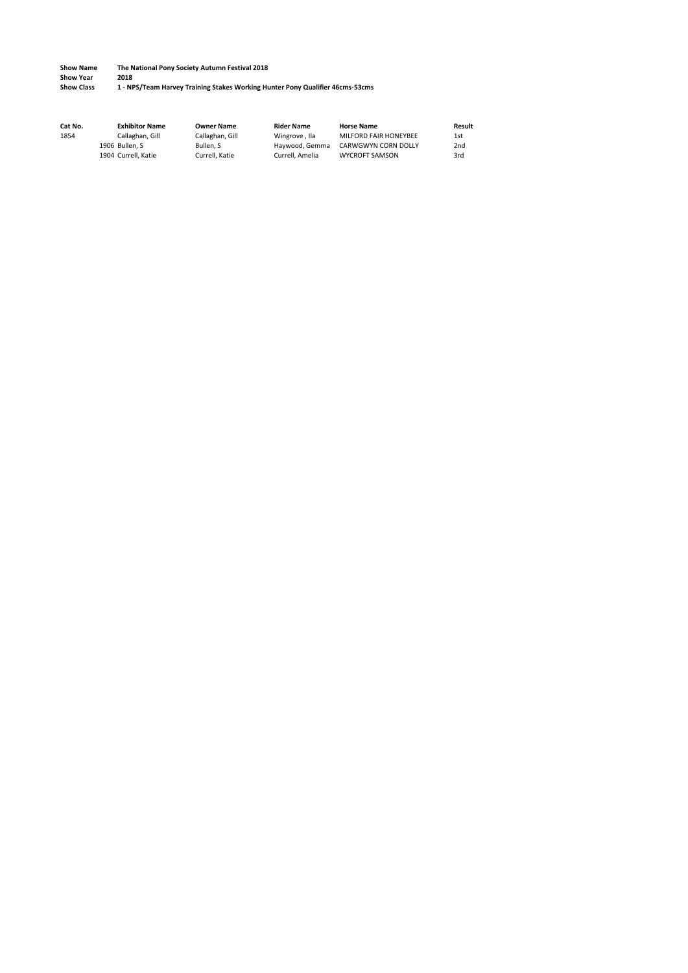**Show Year**<br>**2018** Show Class

**Show Class 1 - NPS/Team Harvey Training Stakes Working Hunter Pony Qualifier 46cms-53cms**

| Cat No. | <b>Exhibitor Name</b> | <b>Owner Name</b> | <b>Rider Name</b> | <b>Horse Name</b>     | Result          |
|---------|-----------------------|-------------------|-------------------|-----------------------|-----------------|
| 1854    | Callaghan, Gill       | Callaghan, Gill   | Wingrove . Ila    | MILFORD FAIR HONEYBEE | 1st             |
|         | 1906 Bullen, S        | Bullen. S         | Havwood, Gemma    | CARWGWYN CORN DOLLY   | 2 <sub>nd</sub> |
|         | 1904 Currell, Katie   | Currell, Katie    | Currell, Amelia   | <b>WYCROFT SAMSON</b> | 3rd             |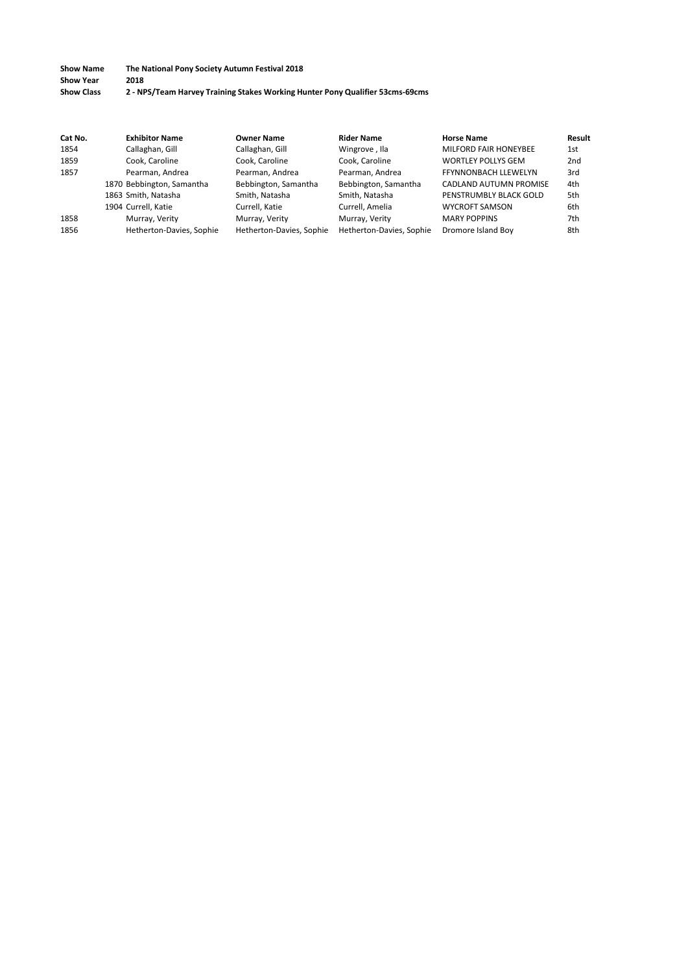#### **Show Name The National Pony Society Autumn Festival 2018 Show Year 2018**<br>**Show Class 2 - NP Show Class 2 - NPS/Team Harvey Training Stakes Working Hunter Pony Qualifier 53cms-69cms**

| Cat No. | <b>Exhibitor Name</b>     | <b>Owner Name</b>        | <b>Rider Name</b>        | <b>Horse Name</b>            | Result          |
|---------|---------------------------|--------------------------|--------------------------|------------------------------|-----------------|
| 1854    | Callaghan, Gill           | Callaghan, Gill          | Wingrove, Ila            | <b>MILFORD FAIR HONEYBEE</b> | 1st             |
| 1859    | Cook. Caroline            | Cook, Caroline           | Cook, Caroline           | <b>WORTLEY POLLYS GEM</b>    | 2 <sub>nd</sub> |
| 1857    | Pearman, Andrea           | Pearman, Andrea          | Pearman, Andrea          | FFYNNONBACH LLEWELYN         | 3rd             |
|         | 1870 Bebbington, Samantha | Bebbington, Samantha     | Bebbington, Samantha     | CADLAND AUTUMN PROMISE       | 4th             |
|         | 1863 Smith, Natasha       | Smith, Natasha           | Smith, Natasha           | PENSTRUMBLY BLACK GOLD       | 5th             |
|         | 1904 Currell, Katie       | Currell, Katie           | Currell, Amelia          | <b>WYCROFT SAMSON</b>        | 6th             |
| 1858    | Murray, Verity            | Murray, Verity           | Murray, Verity           | <b>MARY POPPINS</b>          | 7th             |
| 1856    | Hetherton-Davies, Sophie  | Hetherton-Davies, Sophie | Hetherton-Davies, Sophie | Dromore Island Boy           | 8th             |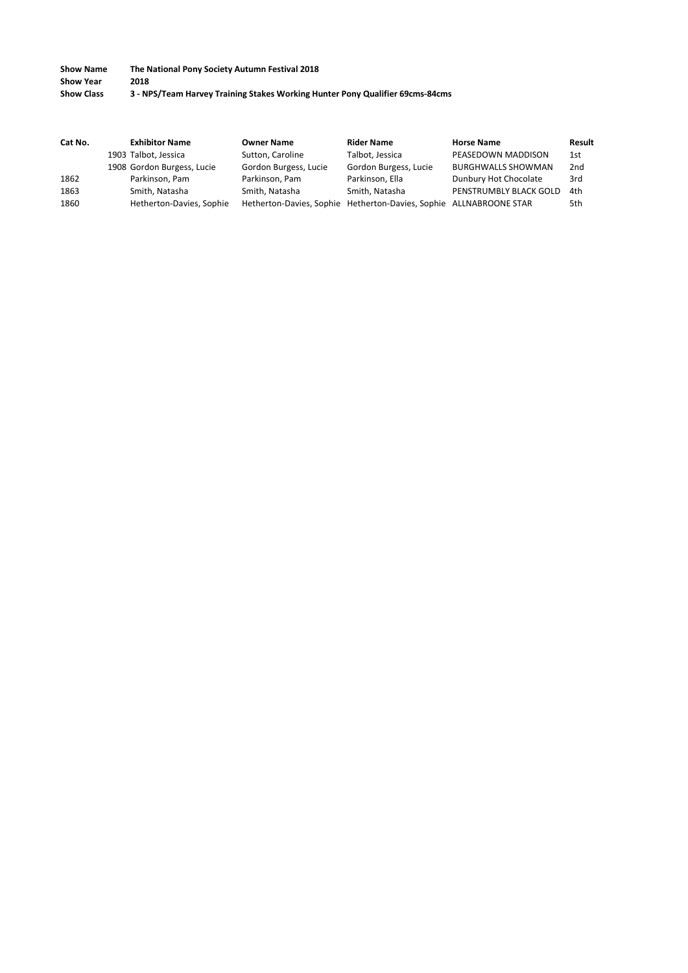**Show Name The National Pony Society Autumn Festival 2018 Show Year<br>Show Class Show Class 3 - NPS/Team Harvey Training Stakes Working Hunter Pony Qualifier 69cms-84cms**

| Cat No. | <b>Exhibitor Name</b>      | <b>Owner Name</b>     | <b>Rider Name</b>                                                  | <b>Horse Name</b>         | Result          |
|---------|----------------------------|-----------------------|--------------------------------------------------------------------|---------------------------|-----------------|
|         | 1903 Talbot, Jessica       | Sutton, Caroline      | Talbot, Jessica                                                    | PEASEDOWN MADDISON        | 1st             |
|         | 1908 Gordon Burgess, Lucie | Gordon Burgess, Lucie | Gordon Burgess, Lucie                                              | <b>BURGHWALLS SHOWMAN</b> | 2 <sub>nd</sub> |
| 1862    | Parkinson, Pam             | Parkinson, Pam        | Parkinson, Ella                                                    | Dunbury Hot Chocolate     | 3rd             |
| 1863    | Smith, Natasha             | Smith, Natasha        | Smith, Natasha                                                     | PENSTRUMBLY BLACK GOLD    | 4th             |
| 1860    | Hetherton-Davies, Sophie   |                       | Hetherton-Davies, Sophie Hetherton-Davies, Sophie ALLNABROONE STAR |                           | 5th             |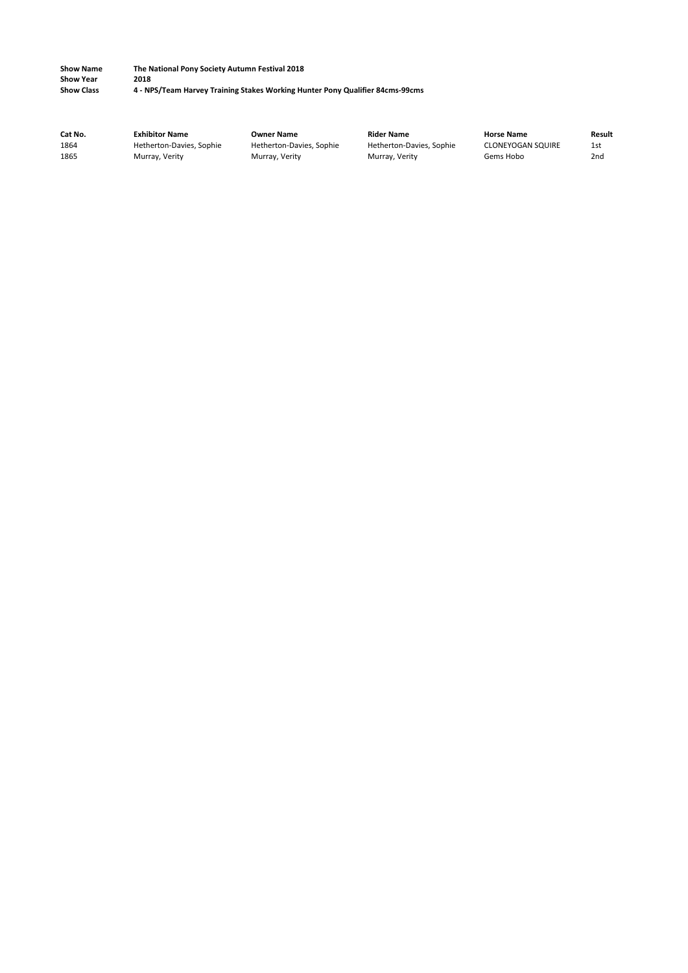**Show Name The National Pony Society Autumn Festival 2018 Show Year<br>Show Class Show Class 4 - NPS/Team Harvey Training Stakes Working Hunter Pony Qualifier 84cms-99cms**

| Cat No. | <b>Exhibitor Name</b>    | Owner Name               | <b>Rider Name</b>        | <b>Horse Name</b>        | Result          |
|---------|--------------------------|--------------------------|--------------------------|--------------------------|-----------------|
| 1864    | Hetherton-Davies, Sophie | Hetherton-Davies, Sophie | Hetherton-Davies, Sophie | <b>CLONEYOGAN SQUIRE</b> | 1st             |
| 1865    | Murray, Verity           | Murray, Verity           | Murray, Verity           | Gems Hobo                | 2 <sub>nd</sub> |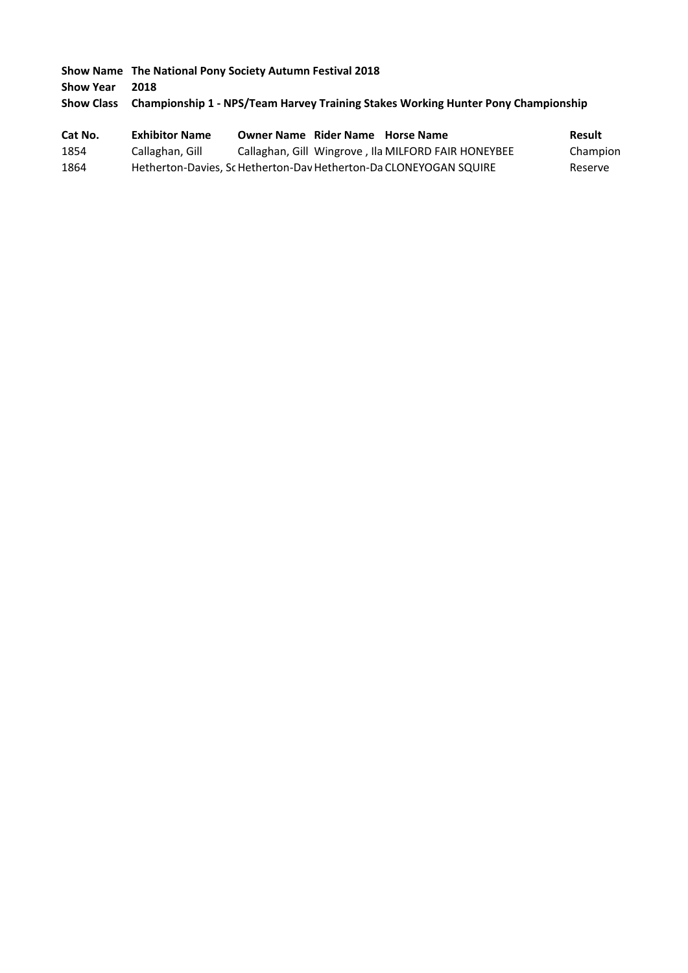**Show Name The National Pony Society Autumn Festival 2018 Show Year 2018 Show Class Championship 1 - NPS/Team Harvey Training Stakes Working Hunter Pony Championship**

| Cat No. | <b>Exhibitor Name</b> | <b>Owner Name Rider Name Horse Name</b> |                                                                   | Result   |
|---------|-----------------------|-----------------------------------------|-------------------------------------------------------------------|----------|
| 1854    | Callaghan, Gill       |                                         | Callaghan, Gill Wingrove, Ila MILFORD FAIR HONEYBEE               | Champion |
| 1864    |                       |                                         | Hetherton-Davies, Sc Hetherton-Dav Hetherton-Da CLONEYOGAN SQUIRE | Reserve  |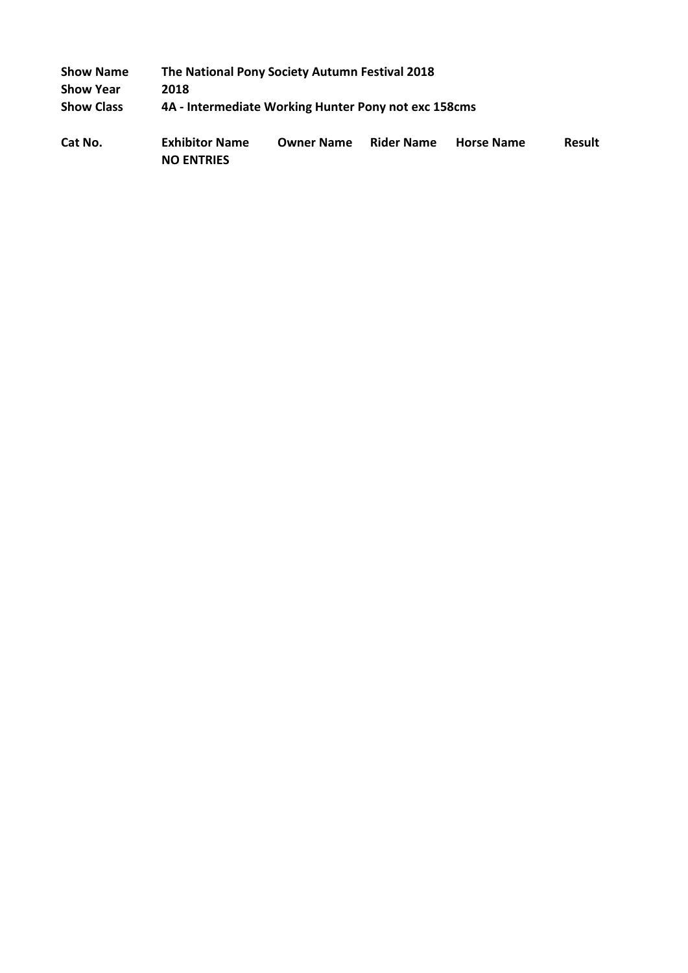| <b>Show Name</b>  | The National Pony Society Autumn Festival 2018       |                   |                   |                   |               |
|-------------------|------------------------------------------------------|-------------------|-------------------|-------------------|---------------|
| <b>Show Year</b>  | 2018                                                 |                   |                   |                   |               |
| <b>Show Class</b> | 4A - Intermediate Working Hunter Pony not exc 158cms |                   |                   |                   |               |
| Cat No.           | <b>Exhibitor Name</b><br><b>NO ENTRIES</b>           | <b>Owner Name</b> | <b>Rider Name</b> | <b>Horse Name</b> | <b>Result</b> |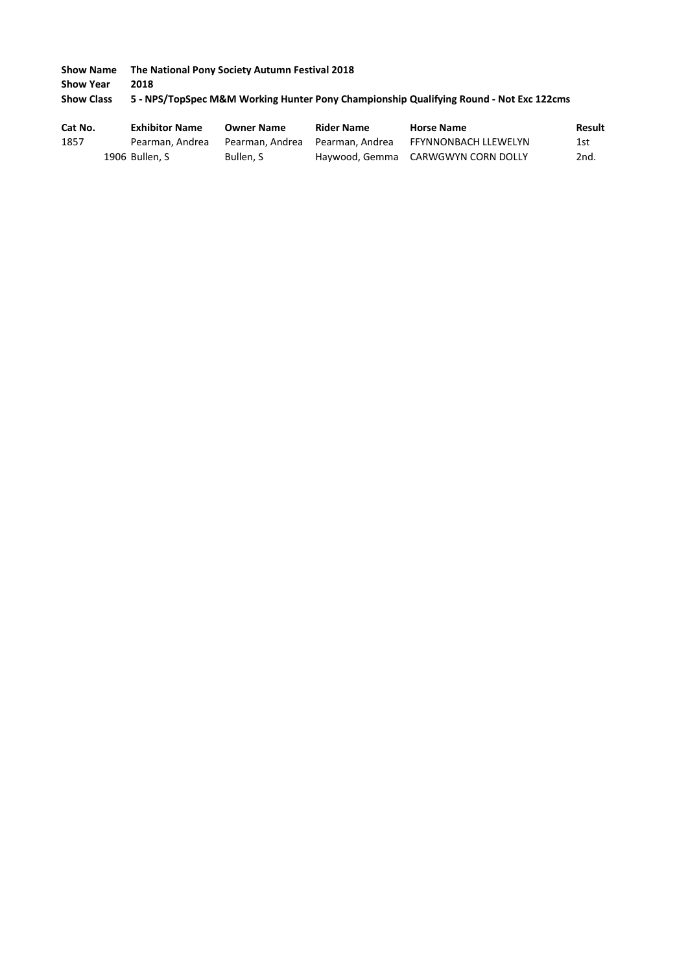**Show Name The National Pony Society Autumn Festival 2018 Show Year 2018 Show Class 5 - NPS/TopSpec M&M Working Hunter Pony Championship Qualifying Round - Not Exc 122cms**

| Cat No. | <b>Exhibitor Name</b> | <b>Owner Name</b> | <b>Rider Name</b> | <b>Horse Name</b>                  | <b>Result</b> |
|---------|-----------------------|-------------------|-------------------|------------------------------------|---------------|
| 1857    | Pearman. Andrea       | Pearman. Andrea   | Pearman. Andrea   | FFYNNONBACH LLEWELYN               | 1st           |
|         | 1906 Bullen, S        | Bullen. S         |                   | Haywood, Gemma CARWGWYN CORN DOLLY | 2nd.          |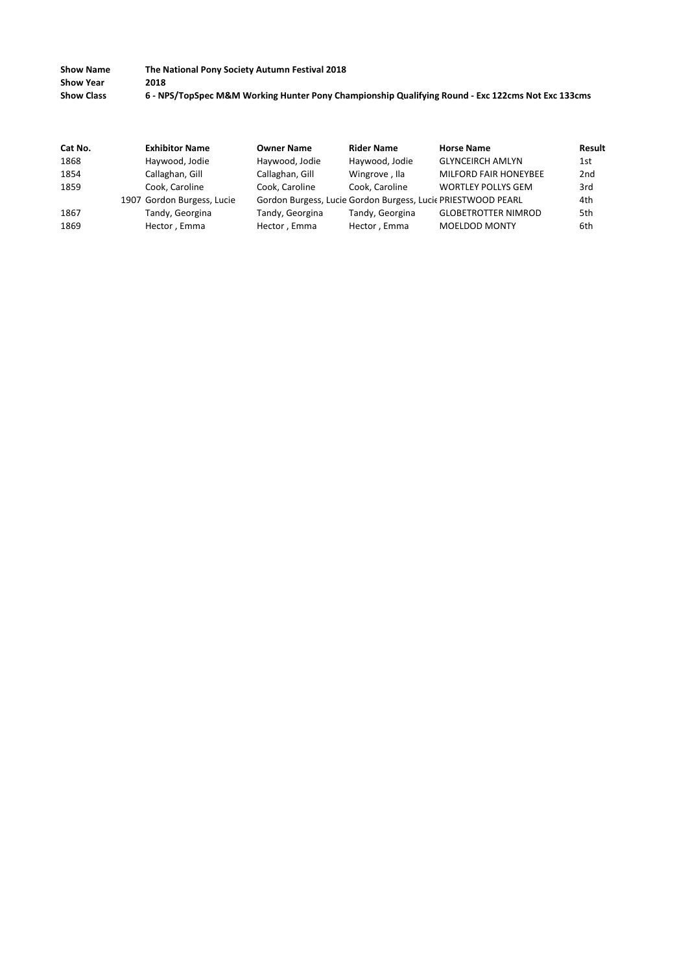| <b>Show Name</b>  | The National Pony Society Autumn Festival 2018                                                    |
|-------------------|---------------------------------------------------------------------------------------------------|
| <b>Show Year</b>  | 2018                                                                                              |
| <b>Show Class</b> | 6 - NPS/TopSpec M&M Working Hunter Pony Championship Qualifying Round - Exc 122cms Not Exc 133cms |

| Cat No. | <b>Exhibitor Name</b>      | <b>Owner Name</b> | <b>Rider Name</b> | <b>Horse Name</b>                                            | <b>Result</b>   |
|---------|----------------------------|-------------------|-------------------|--------------------------------------------------------------|-----------------|
| 1868    | Haywood, Jodie             | Haywood, Jodie    | Haywood, Jodie    | <b>GLYNCEIRCH AMLYN</b>                                      | 1st             |
| 1854    | Callaghan, Gill            | Callaghan, Gill   | Wingrove, Ila     | MILFORD FAIR HONEYBEE                                        | 2 <sub>nd</sub> |
| 1859    | Cook, Caroline             | Cook. Caroline    | Cook, Caroline    | <b>WORTLEY POLLYS GEM</b>                                    | 3rd             |
|         | 1907 Gordon Burgess, Lucie |                   |                   | Gordon Burgess, Lucie Gordon Burgess, Lucie PRIESTWOOD PEARL | 4th             |
| 1867    | Tandy, Georgina            | Tandy, Georgina   | Tandy, Georgina   | <b>GLOBETROTTER NIMROD</b>                                   | 5th             |
| 1869    | Hector, Emma               | Hector, Emma      | Hector, Emma      | <b>MOELDOD MONTY</b>                                         | 6th             |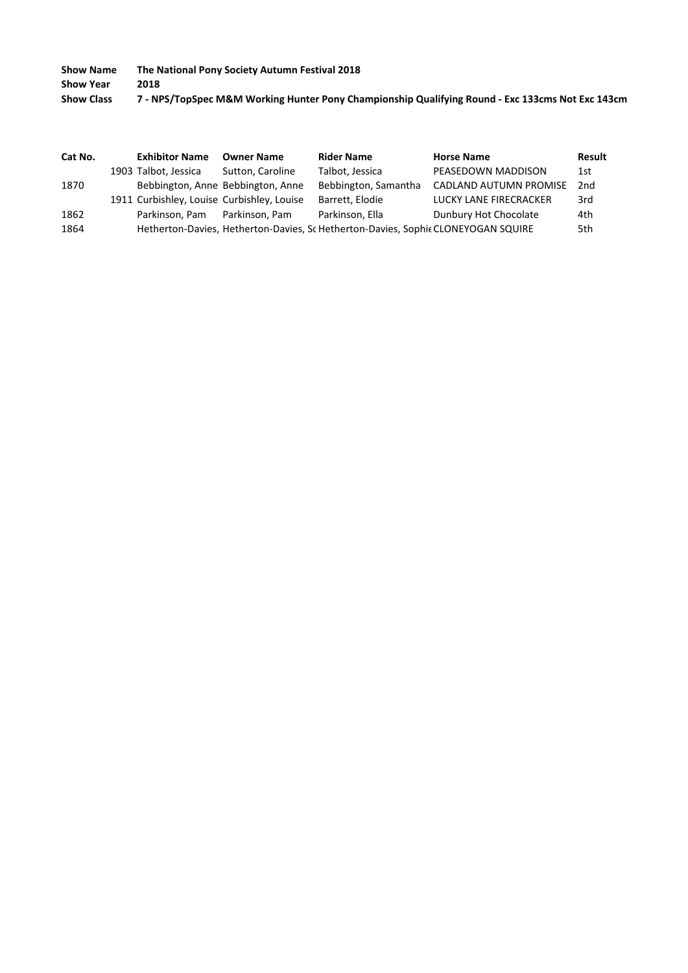**Show Year 2018**

| <b>Show Class</b> | 7 - NPS/TopSpec M&M Working Hunter Pony Championship Qualifying Round - Exc 133cms Not Exc 143cm |
|-------------------|--------------------------------------------------------------------------------------------------|
|-------------------|--------------------------------------------------------------------------------------------------|

| Cat No. | <b>Exhibitor Name</b> | <b>Owner Name</b>                          | <b>Rider Name</b>                                                                 | <b>Horse Name</b>      | <b>Result</b> |
|---------|-----------------------|--------------------------------------------|-----------------------------------------------------------------------------------|------------------------|---------------|
|         | 1903 Talbot, Jessica  | Sutton, Caroline                           | Talbot, Jessica                                                                   | PEASEDOWN MADDISON     | 1st           |
| 1870    |                       | Bebbington, Anne Bebbington, Anne          | Bebbington, Samantha                                                              | CADLAND AUTUMN PROMISE | 2nd           |
|         |                       | 1911 Curbishley, Louise Curbishley, Louise | Barrett, Elodie                                                                   | LUCKY LANE FIRECRACKER | 3rd           |
| 1862    | Parkinson, Pam        | Parkinson, Pam                             | Parkinson, Ella                                                                   | Dunbury Hot Chocolate  | 4th           |
| 1864    |                       |                                            | Hetherton-Davies, Hetherton-Davies, Sc Hetherton-Davies, Sophic CLONEYOGAN SQUIRE |                        | 5th           |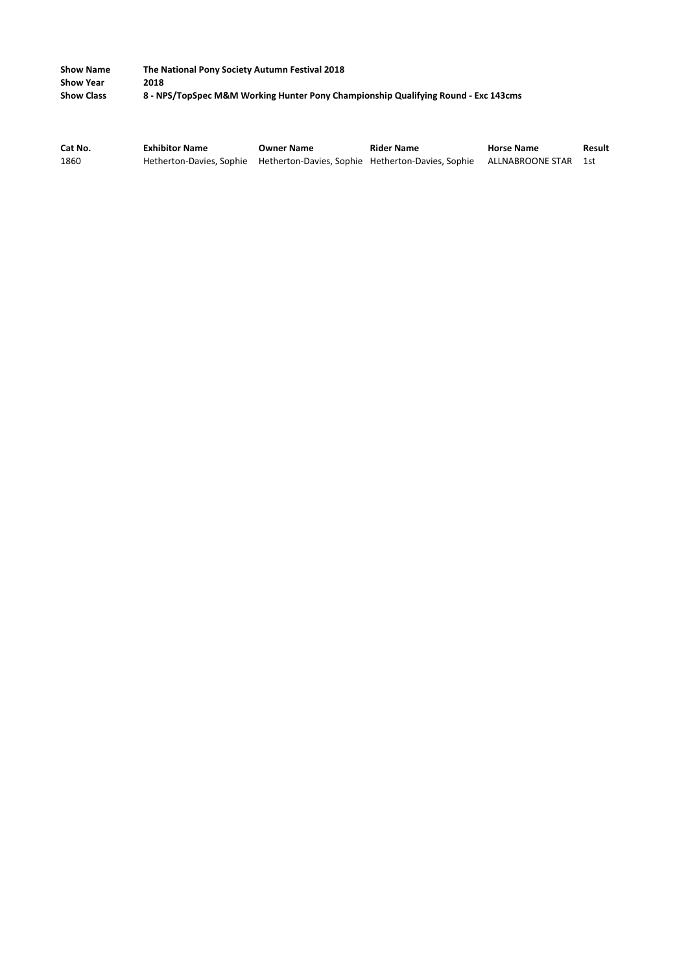| <b>Show Name</b>  | The National Pony Society Autumn Festival 2018                                     |
|-------------------|------------------------------------------------------------------------------------|
| <b>Show Year</b>  | 2018                                                                               |
| <b>Show Class</b> | 8 - NPS/TopSpec M&M Working Hunter Pony Championship Qualifying Round - Exc 143cms |

| Cat No. | <b>Exhibitor Name</b> | <b>Owner Name</b> | <b>Rider Name</b>                                                                               | <b>Horse Name</b> | Result |
|---------|-----------------------|-------------------|-------------------------------------------------------------------------------------------------|-------------------|--------|
| 1860    |                       |                   | Hetherton-Davies, Sophie Hetherton-Davies, Sophie Hetherton-Davies, Sophie ALLNABROONE STAR 1st |                   |        |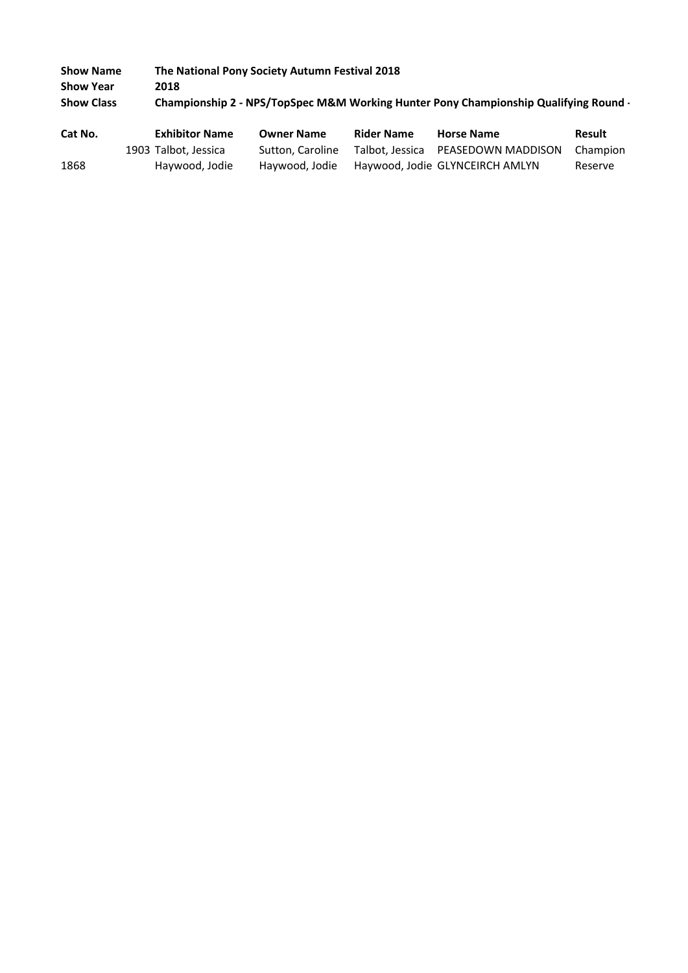| <b>Show Name</b>  |                       | The National Pony Society Autumn Festival 2018 |                   |                                                                                      |               |
|-------------------|-----------------------|------------------------------------------------|-------------------|--------------------------------------------------------------------------------------|---------------|
| <b>Show Year</b>  | 2018                  |                                                |                   |                                                                                      |               |
| <b>Show Class</b> |                       |                                                |                   | Championship 2 - NPS/TopSpec M&M Working Hunter Pony Championship Qualifying Round - |               |
|                   |                       |                                                |                   |                                                                                      |               |
| Cat No.           | <b>Exhibitor Name</b> | <b>Owner Name</b>                              | <b>Rider Name</b> | <b>Horse Name</b>                                                                    | <b>Result</b> |

1868 Haywood, Jodie Haywood, Jodie Haywood, Jodie GLYNCEIRCH AMLYN Reserve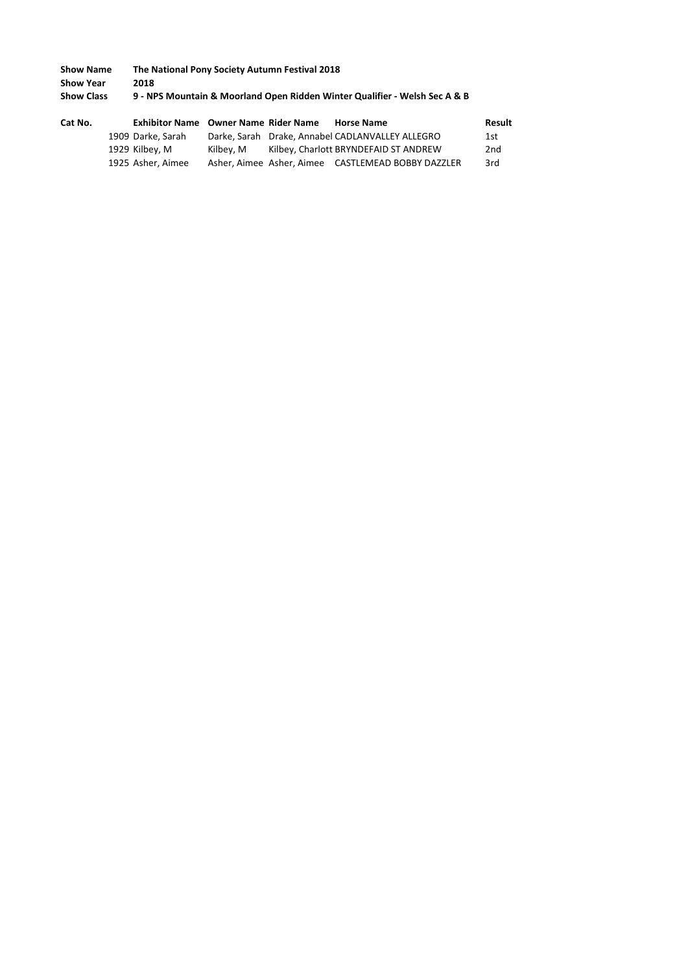| <b>Show Name</b>  | The National Pony Society Autumn Festival 2018                             |
|-------------------|----------------------------------------------------------------------------|
| <b>Show Year</b>  | 2018                                                                       |
| <b>Show Class</b> | 9 - NPS Mountain & Moorland Open Ridden Winter Qualifier - Welsh Sec A & B |

| Cat No. |                   | <b>Exhibitor Name</b> Owner Name Rider Name | <b>Horse Name</b>                                  | Result |
|---------|-------------------|---------------------------------------------|----------------------------------------------------|--------|
|         | 1909 Darke, Sarah |                                             | Darke, Sarah Drake, Annabel CADLANVALLEY ALLEGRO   | 1st    |
|         | 1929 Kilbey, M    | Kilbev. M                                   | Kilbey, Charlott BRYNDEFAID ST ANDREW              | 2nd    |
|         | 1925 Asher, Aimee |                                             | Asher, Aimee Asher, Aimee CASTLEMEAD BOBBY DAZZLER | 3rd    |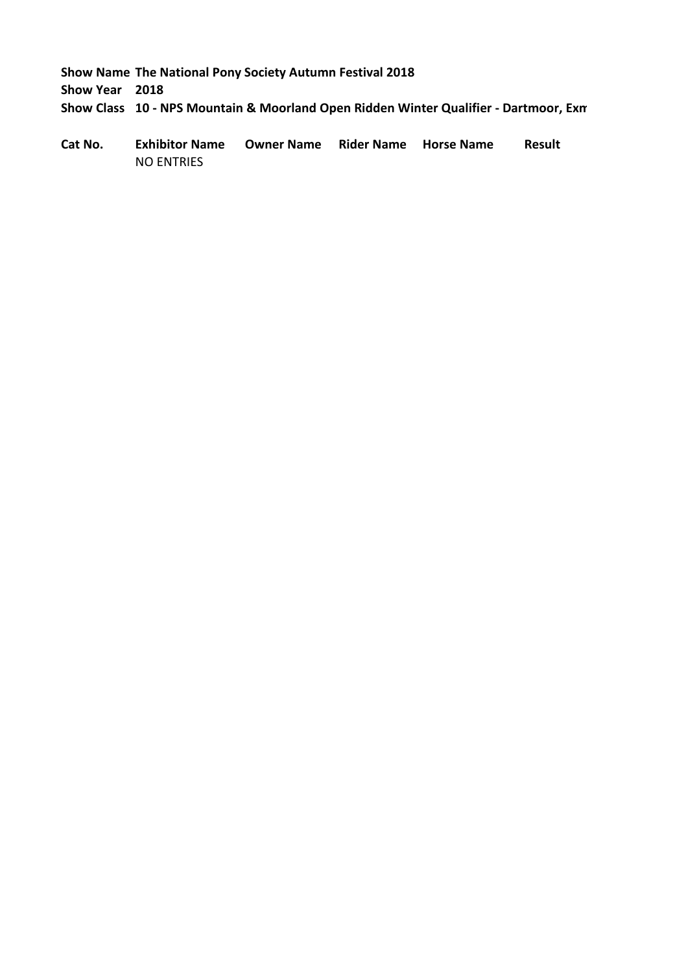**Show Year 2018**

**Show Class 10 - NPS Mountain & Moorland Open Ridden Winter Qualifier - Dartmoor, Exm**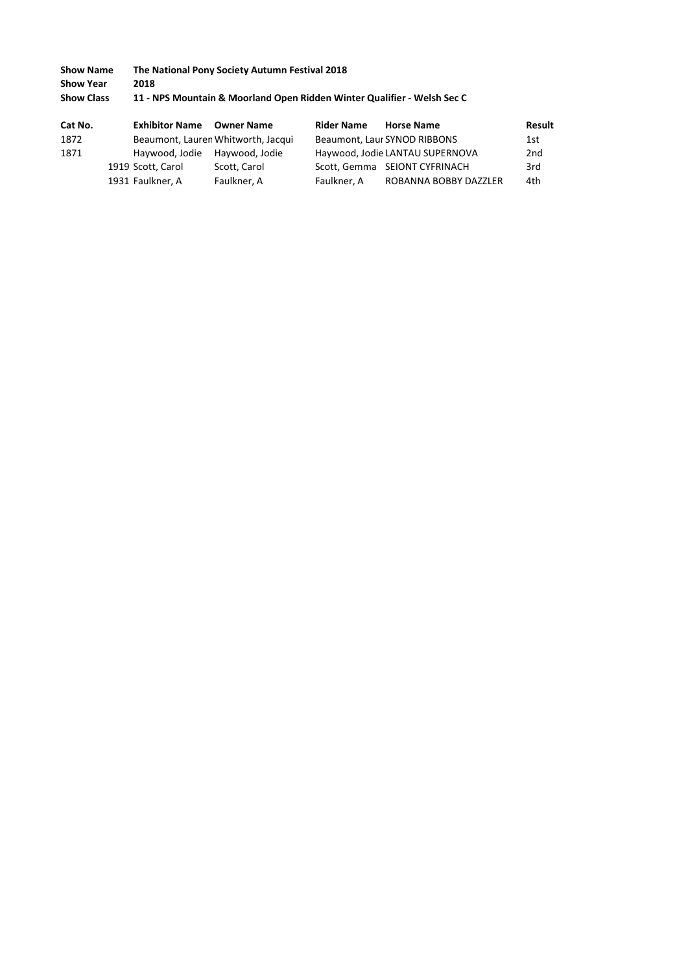| <b>Show Name</b>  | The National Pony Society Autumn Festival 2018                          |
|-------------------|-------------------------------------------------------------------------|
| <b>Show Year</b>  | 2018                                                                    |
| <b>Show Class</b> | 11 - NPS Mountain & Moorland Open Ridden Winter Qualifier - Welsh Sec C |

| Cat No. | <b>Exhibitor Name</b> |                | <b>Owner Name</b>                  | <b>Rider Name</b> | <b>Horse Name</b>               | Result |
|---------|-----------------------|----------------|------------------------------------|-------------------|---------------------------------|--------|
| 1872    |                       |                | Beaumont, Lauren Whitworth, Jacqui |                   | Beaumont, Laur SYNOD RIBBONS    | 1st    |
| 1871    |                       | Haywood, Jodie | Havwood, Jodie                     |                   | Haywood, Jodie LANTAU SUPERNOVA | 2nd    |
|         | 1919 Scott, Carol     |                | Scott, Carol                       |                   | Scott, Gemma SEIONT CYFRINACH   | 3rd    |
|         | 1931 Faulkner, A      |                | Faulkner, A                        | Faulkner, A       | ROBANNA BOBBY DAZZLER           | 4th    |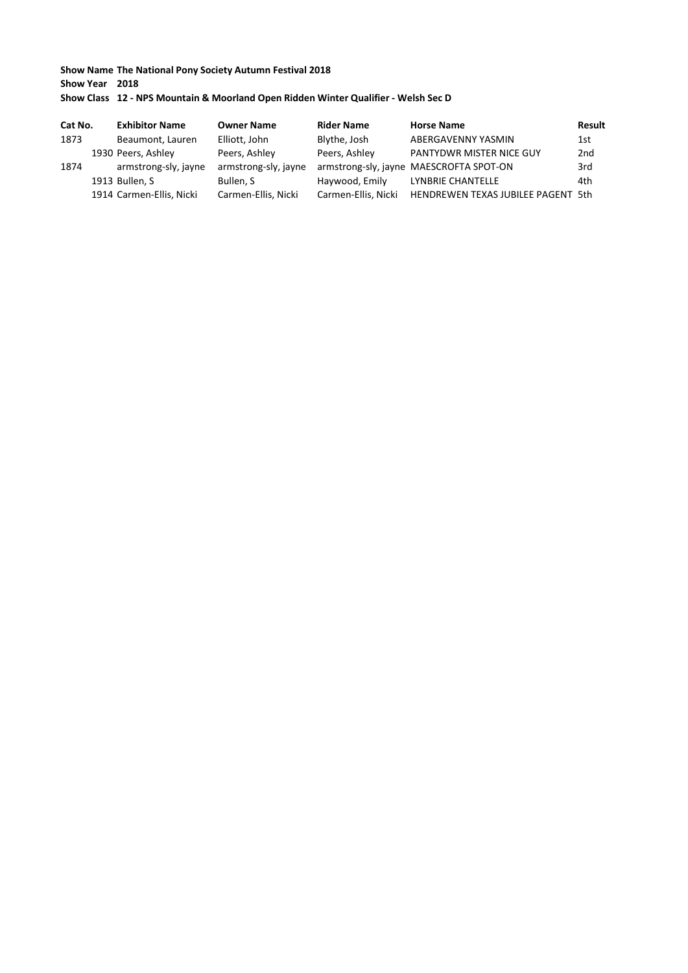#### **Show Name The National Pony Society Autumn Festival 2018 Show Year 2018 Show Class 12 - NPS Mountain & Moorland Open Ridden Winter Qualifier - Welsh Sec D**

| Cat No. | <b>Exhibitor Name</b>    | <b>Owner Name</b>    | <b>Rider Name</b>   | <b>Horse Name</b>                       | Result |
|---------|--------------------------|----------------------|---------------------|-----------------------------------------|--------|
| 1873    | Beaumont, Lauren         | Elliott, John        | Blythe, Josh        | ABERGAVENNY YASMIN                      | 1st    |
|         | 1930 Peers, Ashley       | Peers, Ashley        | Peers, Ashley       | PANTYDWR MISTER NICE GUY                | 2nd    |
| 1874    | armstrong-sly, jayne     | armstrong-sly, jayne |                     | armstrong-sly, jayne MAESCROFTA SPOT-ON | 3rd    |
|         | 1913 Bullen, S           | Bullen. S            | Haywood, Emily      | LYNBRIE CHANTELLE                       | 4th    |
|         | 1914 Carmen-Ellis, Nicki | Carmen-Ellis, Nicki  | Carmen-Ellis, Nicki | HENDREWEN TEXAS JUBILEE PAGENT 5th      |        |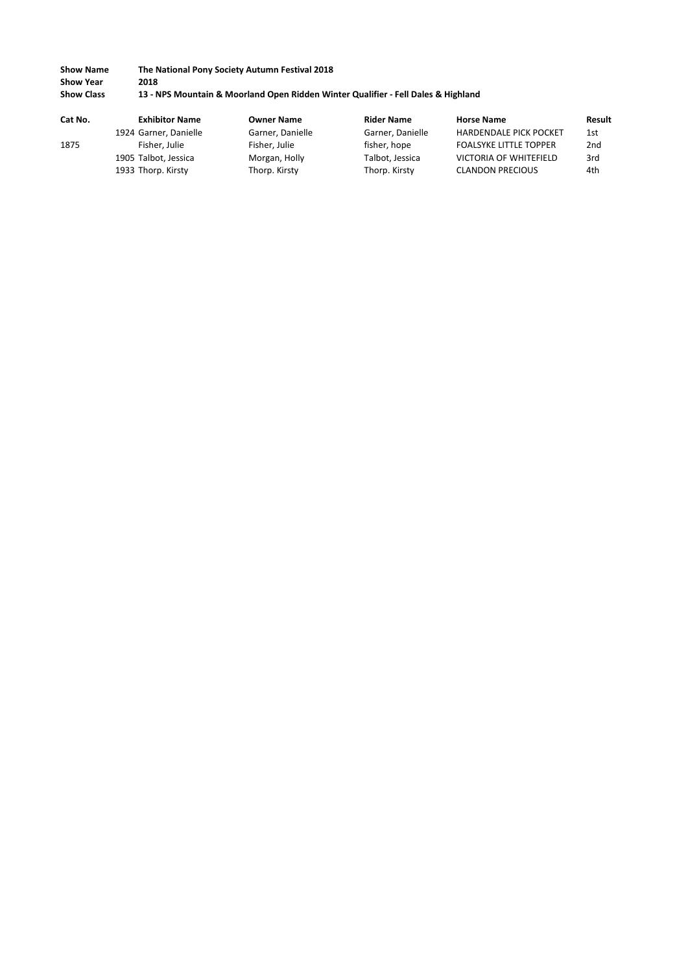| <b>Show Name</b>  | The National Pony Society Autumn Festival 2018                                    |
|-------------------|-----------------------------------------------------------------------------------|
| <b>Show Year</b>  | 2018                                                                              |
| <b>Show Class</b> | 13 - NPS Mountain & Moorland Open Ridden Winter Qualifier - Fell Dales & Highland |

| Cat No. | <b>Exhibitor Name</b> | <b>Owner Name</b> | <b>Rider Name</b> | <b>Horse Name</b>             | Result          |
|---------|-----------------------|-------------------|-------------------|-------------------------------|-----------------|
|         | 1924 Garner, Danielle | Garner, Danielle  | Garner, Danielle  | <b>HARDENDALE PICK POCKET</b> | 1st             |
| 1875    | Fisher, Julie         | Fisher, Julie     | fisher, hope      | <b>FOALSYKE LITTLE TOPPER</b> | 2 <sub>nd</sub> |
|         | 1905 Talbot, Jessica  | Morgan, Holly     | Talbot, Jessica   | <b>VICTORIA OF WHITEFIELD</b> | 3rd             |
|         | 1933 Thorp. Kirsty    | Thorp. Kirsty     | Thorp. Kirsty     | <b>CLANDON PRECIOUS</b>       | 4th             |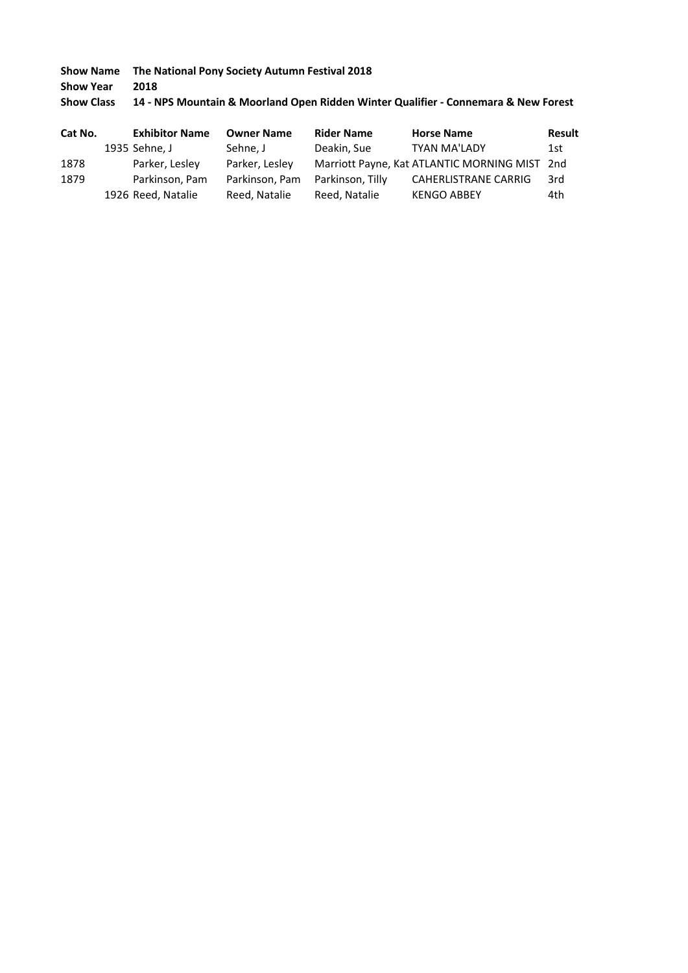**Show Year 2018**

# **Show Class 14 - NPS Mountain & Moorland Open Ridden Winter Qualifier - Connemara & New Forest**

| Cat No. | <b>Exhibitor Name</b> | <b>Owner Name</b> | <b>Rider Name</b> | <b>Horse Name</b>                             | <b>Result</b> |
|---------|-----------------------|-------------------|-------------------|-----------------------------------------------|---------------|
|         | 1935 Sehne, J         | Sehne, J          | Deakin, Sue       | <b>TYAN MA'LADY</b>                           | 1st           |
| 1878    | Parker, Lesley        | Parker, Lesley    |                   | Marriott Payne, Kat ATLANTIC MORNING MIST 2nd |               |
| 1879    | Parkinson, Pam        | Parkinson, Pam    | Parkinson, Tilly  | <b>CAHERLISTRANE CARRIG</b>                   | 3rd           |
|         | 1926 Reed, Natalie    | Reed. Natalie     | Reed. Natalie     | <b>KENGO ABBEY</b>                            | 4th           |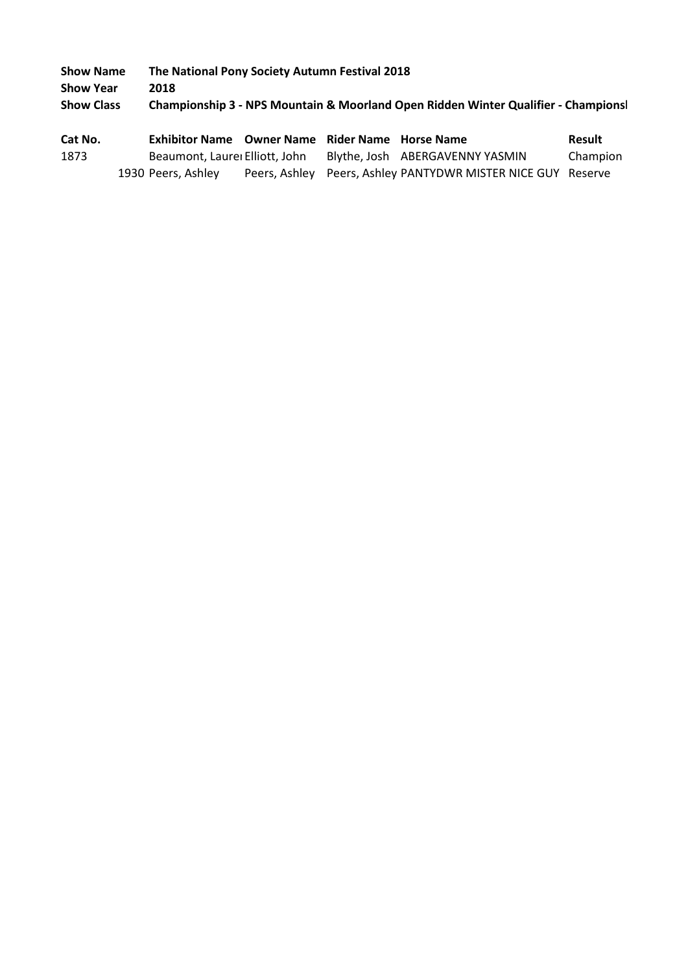| <b>Show Name</b>  | The National Pony Society Autumn Festival 2018                                    |
|-------------------|-----------------------------------------------------------------------------------|
| <b>Show Year</b>  | 2018                                                                              |
| <b>Show Class</b> | Championship 3 - NPS Mountain & Moorland Open Ridden Winter Qualifier - Champions |

| Cat No. | Exhibitor Name Owner Name Rider Name Horse Name |  |                                                              | <b>Result</b> |
|---------|-------------------------------------------------|--|--------------------------------------------------------------|---------------|
| 1873    | Beaumont, Laurei Elliott, John                  |  | Blythe, Josh ABERGAVENNY YASMIN                              | Champion      |
|         | 1930 Peers. Ashley                              |  | Peers, Ashley Peers, Ashley PANTYDWR MISTER NICE GUY Reserve |               |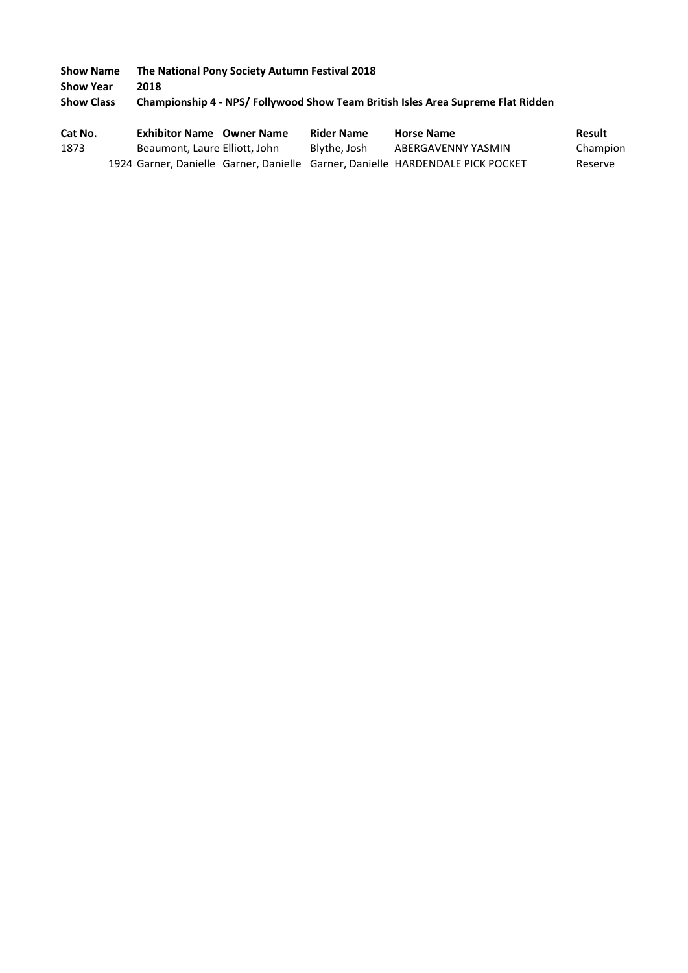**Show Name The National Pony Society Autumn Festival 2018 Show Year 2018 Show Class Championship 4 - NPS/ Follywood Show Team British Isles Area Supreme Flat Ridden** 

| Cat No. | <b>Exhibitor Name</b> Owner Name                                               | <b>Rider Name</b> | <b>Horse Name</b>  | Result   |
|---------|--------------------------------------------------------------------------------|-------------------|--------------------|----------|
| 1873    | Beaumont, Laure Elliott, John                                                  | Blythe, Josh      | ABERGAVENNY YASMIN | Champion |
|         | 1924 Garner, Danielle Garner, Danielle Garner, Danielle HARDENDALE PICK POCKET |                   |                    | Reserve  |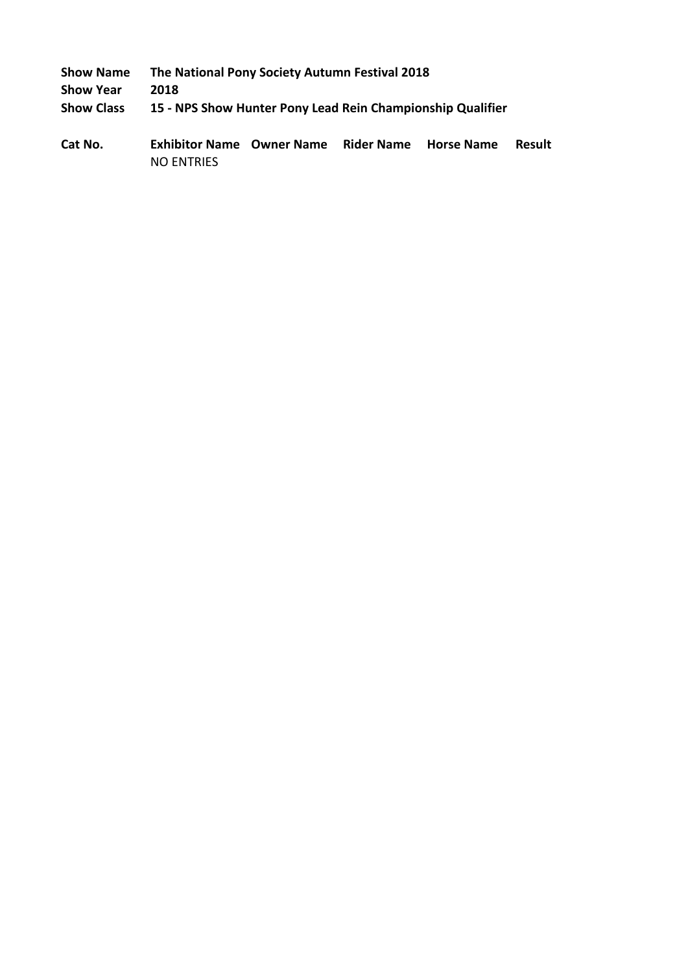| <b>Show Name</b>  | The National Pony Society Autumn Festival 2018             |
|-------------------|------------------------------------------------------------|
| <b>Show Year</b>  | 2018                                                       |
| <b>Show Class</b> | 15 - NPS Show Hunter Pony Lead Rein Championship Qualifier |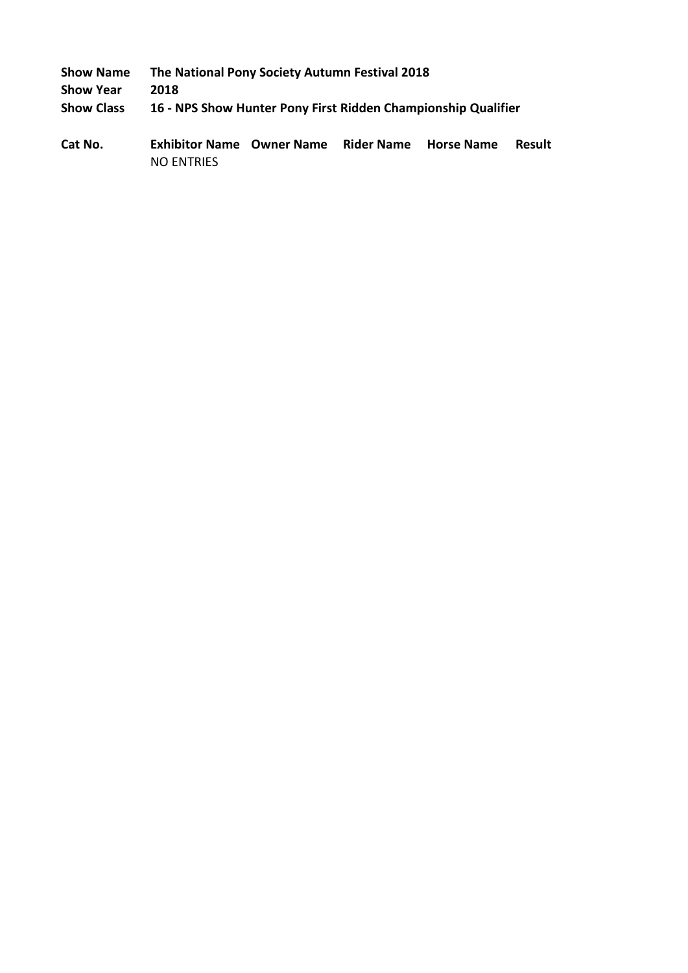| <b>Show Name</b>  | The National Pony Society Autumn Festival 2018                |
|-------------------|---------------------------------------------------------------|
| <b>Show Year</b>  | 2018                                                          |
| <b>Show Class</b> | 16 - NPS Show Hunter Pony First Ridden Championship Qualifier |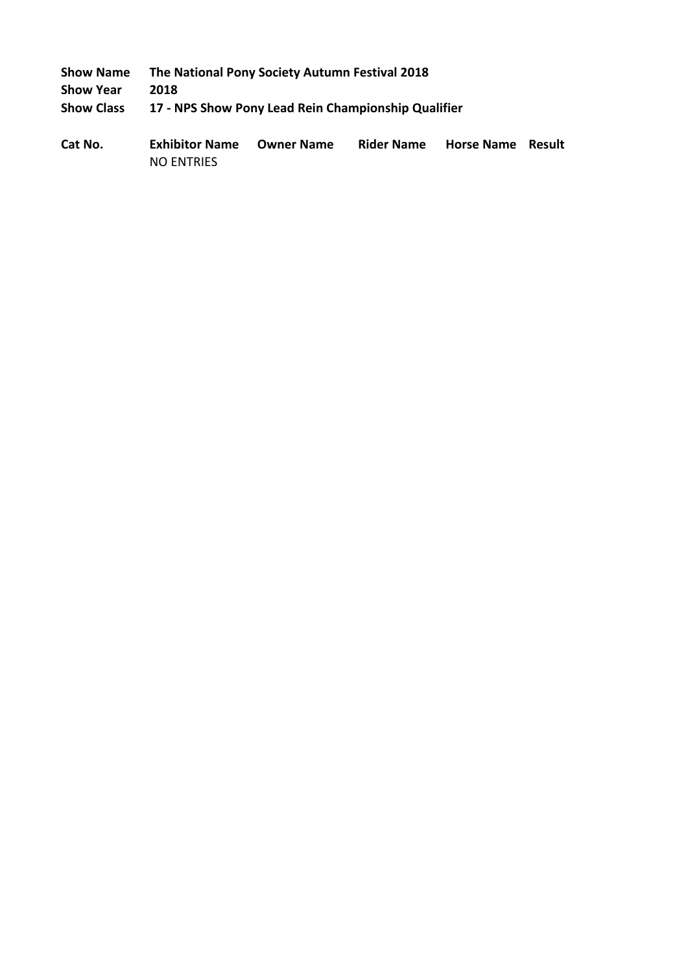| <b>Show Name</b>  | The National Pony Society Autumn Festival 2018      |
|-------------------|-----------------------------------------------------|
| <b>Show Year</b>  | 2018                                                |
| <b>Show Class</b> | 17 - NPS Show Pony Lead Rein Championship Qualifier |
|                   |                                                     |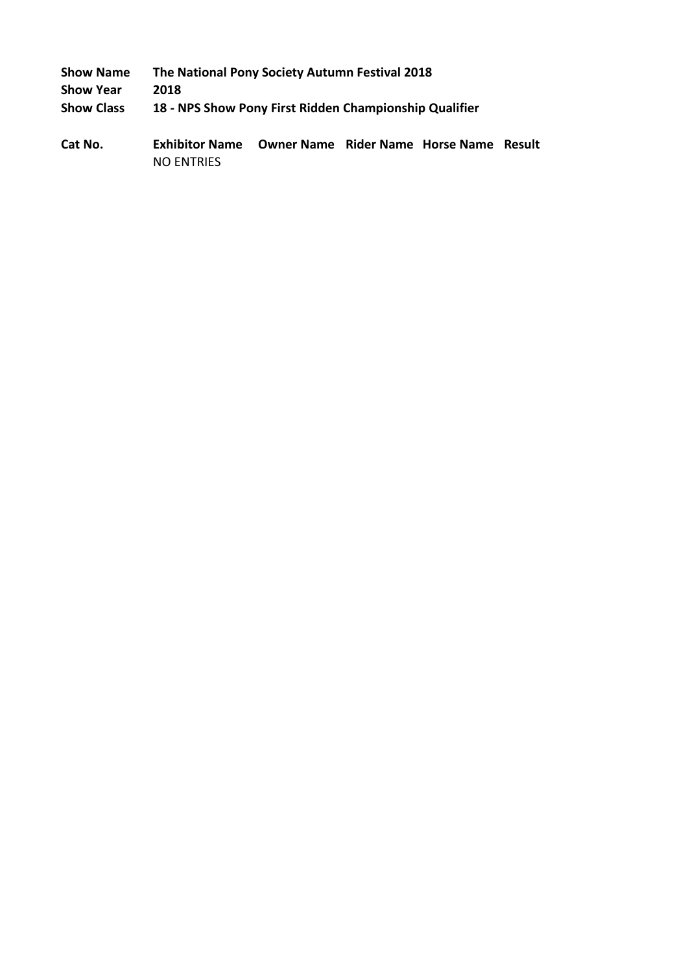| <b>Show Name</b>  | The National Pony Society Autumn Festival 2018         |
|-------------------|--------------------------------------------------------|
| <b>Show Year</b>  | 2018                                                   |
| <b>Show Class</b> | 18 - NPS Show Pony First Ridden Championship Qualifier |
|                   |                                                        |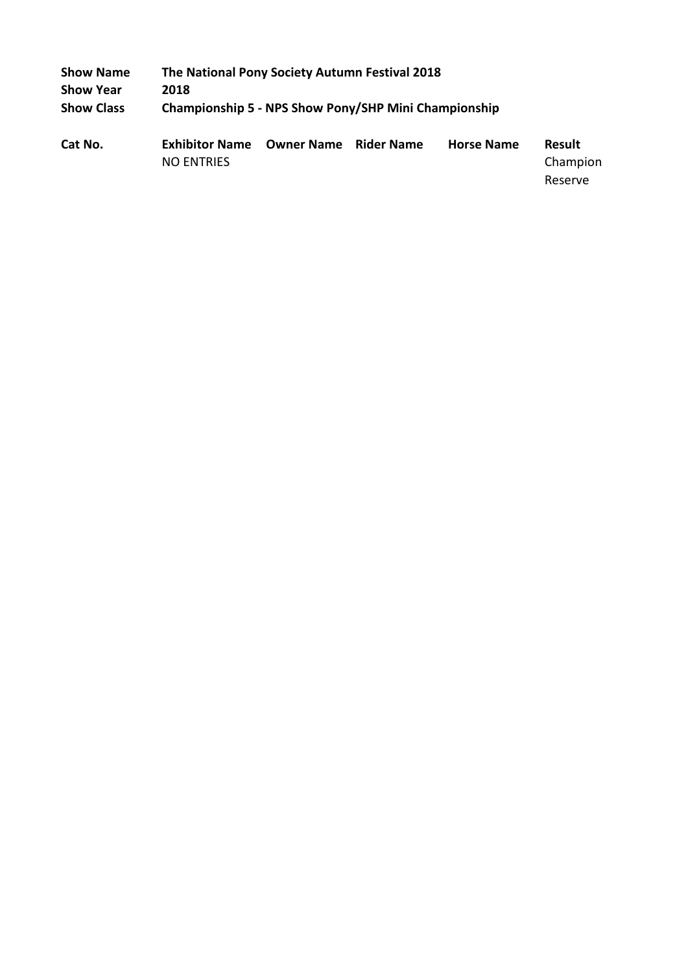| <b>Show Name</b>  |                                            | The National Pony Society Autumn Festival 2018       |                   |                   |                           |  |  |  |
|-------------------|--------------------------------------------|------------------------------------------------------|-------------------|-------------------|---------------------------|--|--|--|
| <b>Show Year</b>  | 2018                                       |                                                      |                   |                   |                           |  |  |  |
| <b>Show Class</b> |                                            | Championship 5 - NPS Show Pony/SHP Mini Championship |                   |                   |                           |  |  |  |
| Cat No.           | <b>Exhibitor Name</b><br><b>NO ENTRIES</b> | <b>Owner Name</b>                                    | <b>Rider Name</b> | <b>Horse Name</b> | <b>Result</b><br>Champion |  |  |  |
|                   |                                            |                                                      |                   |                   | Reserve                   |  |  |  |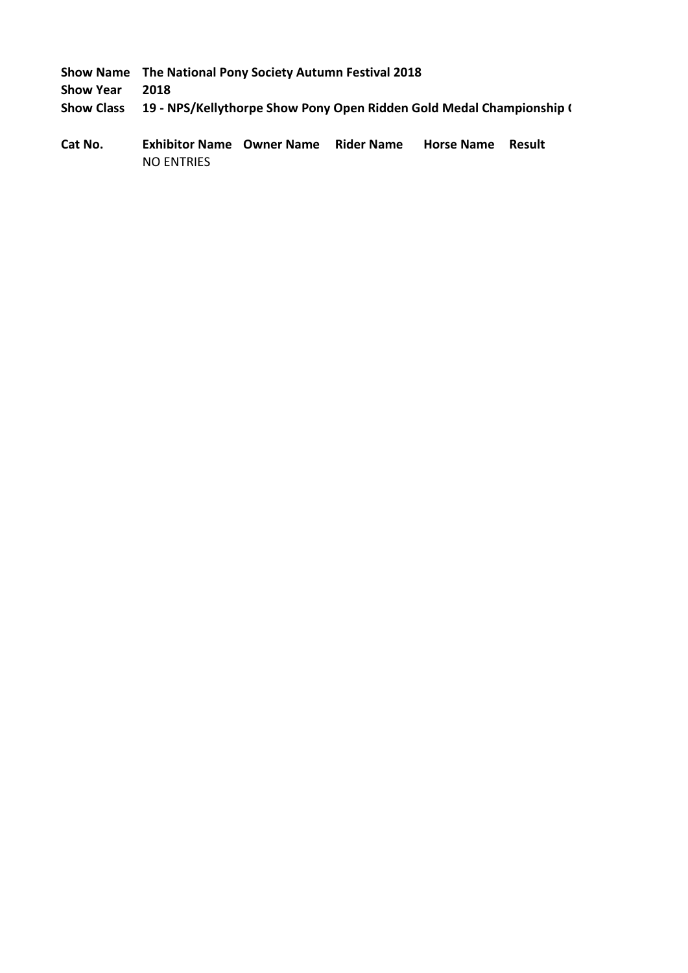|  | Show Name The National Pony Society Autumn Festival 2018 |  |
|--|----------------------------------------------------------|--|
|--|----------------------------------------------------------|--|

**Show Year 2018**

**Show Class 19 - NPS/Kellythorpe Show Pony Open Ridden Gold Medal Championship (**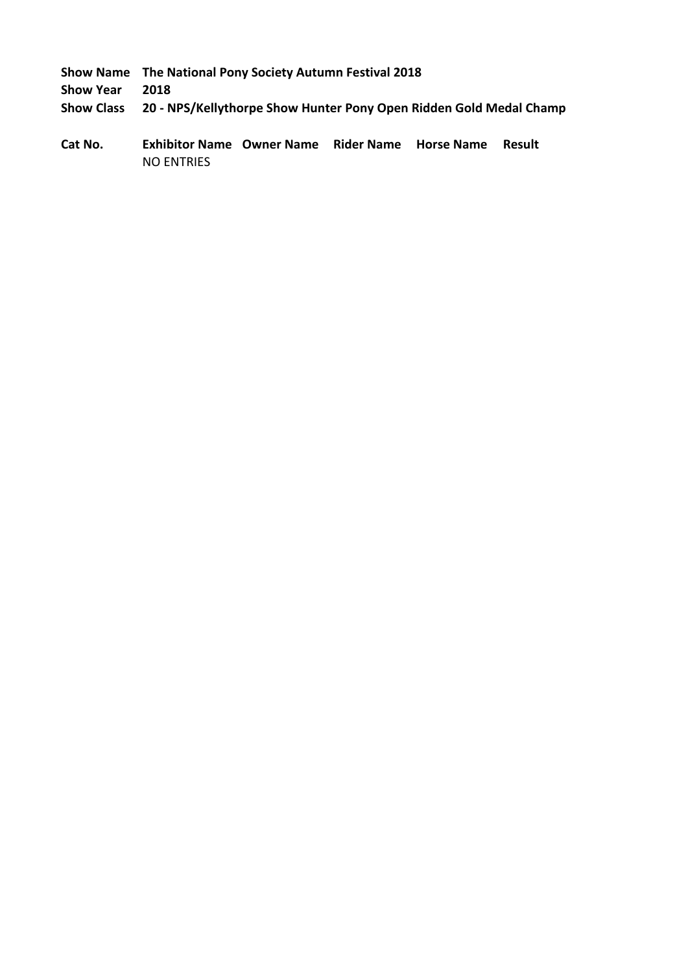|     | Show Name The National Pony Society Autumn Festival 2018 |
|-----|----------------------------------------------------------|
| eks | $\sim$                                                   |

**Show Year 2018**

**Show Class 20 - NPS/Kellythorpe Show Hunter Pony Open Ridden Gold Medal Champ**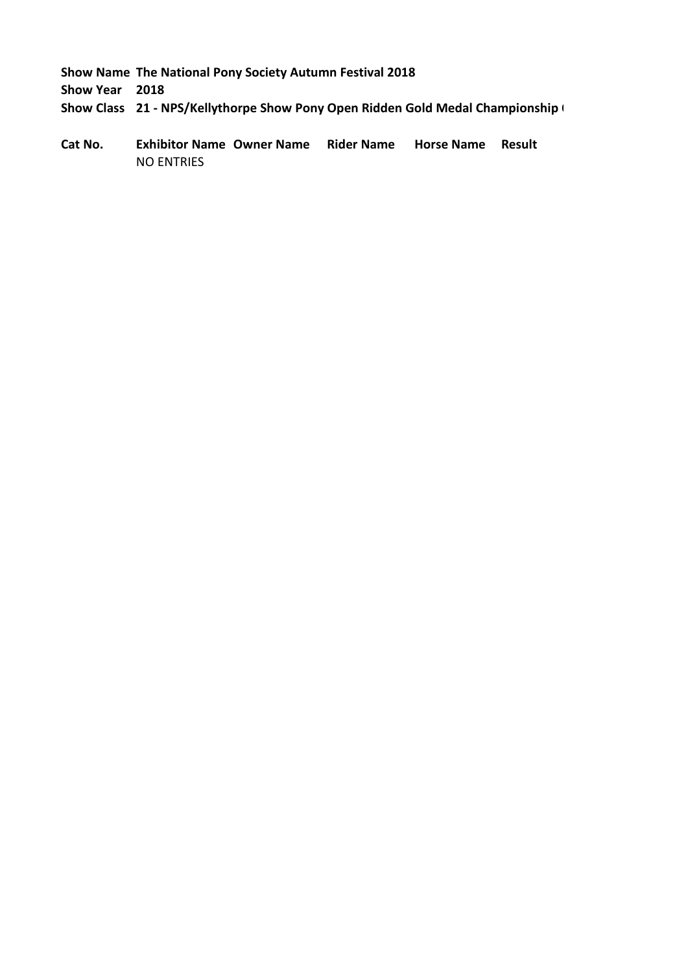**Show Year 2018**

**Show Class 21 - NPS/Kellythorpe Show Pony Open Ridden Gold Medal Championship (**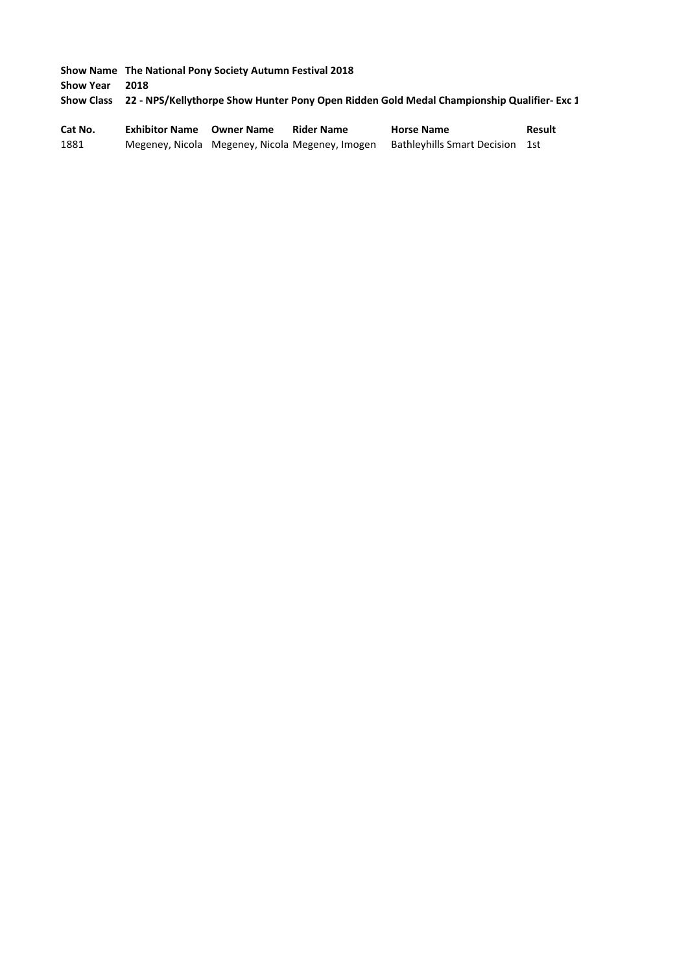**Show Name The National Pony Society Autumn Festival 2018 Show Year 2018 Show Class 22 - NPS/Kellythorpe Show Hunter Pony Open Ridden Gold Medal Championship Qualifier- Exc 1** 

| Cat No. | <b>Exhibitor Name Owner Name</b> | <b>Rider Name</b>                               | <b>Horse Name</b>               | Result |
|---------|----------------------------------|-------------------------------------------------|---------------------------------|--------|
| 1881    |                                  | Megeney, Nicola Megeney, Nicola Megeney, Imogen | Bathleyhills Smart Decision 1st |        |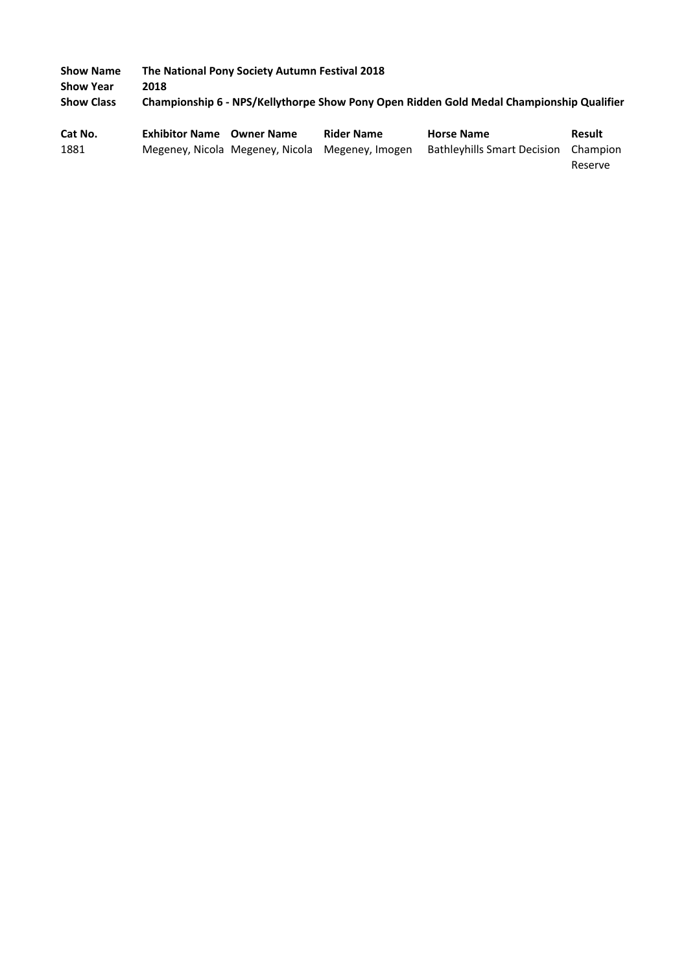| <b>Show Name</b>  | The National Pony Society Autumn Festival 2018                                           |                   |                   |                   |               |  |
|-------------------|------------------------------------------------------------------------------------------|-------------------|-------------------|-------------------|---------------|--|
| <b>Show Year</b>  | 2018                                                                                     |                   |                   |                   |               |  |
| <b>Show Class</b> | Championship 6 - NPS/Kellythorpe Show Pony Open Ridden Gold Medal Championship Qualifier |                   |                   |                   |               |  |
| Cat No.           | <b>Exhibitor Name</b>                                                                    | <b>Owner Name</b> | <b>Rider Name</b> | <b>Horse Name</b> | <b>Result</b> |  |

1881 Megeney, Nicola Megeney, Nicola Megeney, Imogen Bathleyhills Smart Decision Champion Reserve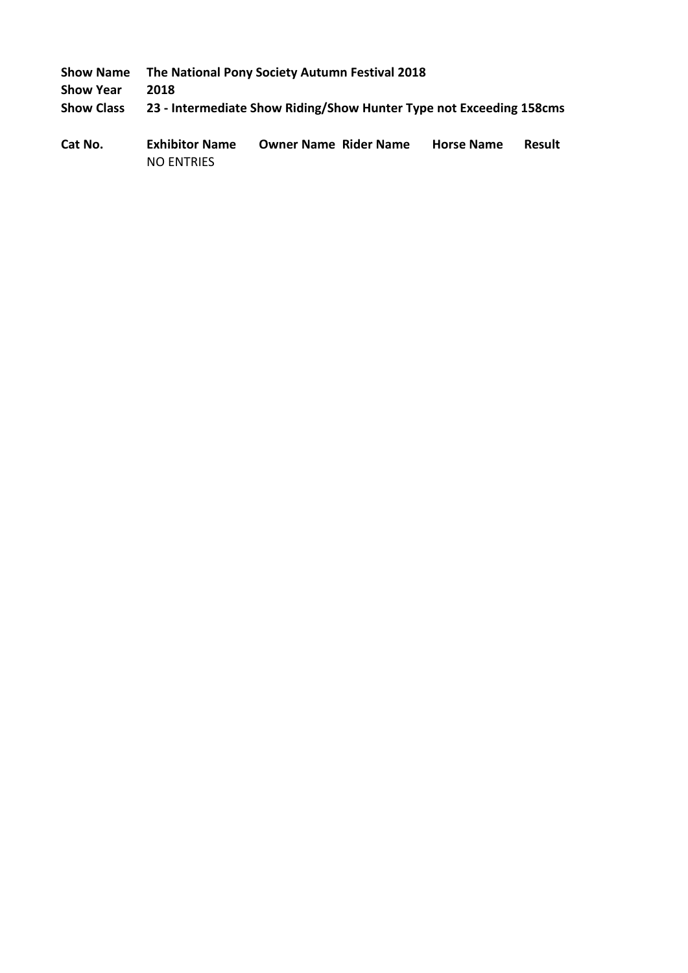| <b>Show Name</b>  | The National Pony Society Autumn Festival 2018                      |
|-------------------|---------------------------------------------------------------------|
| <b>Show Year</b>  | 2018                                                                |
| <b>Show Class</b> | 23 - Intermediate Show Riding/Show Hunter Type not Exceeding 158cms |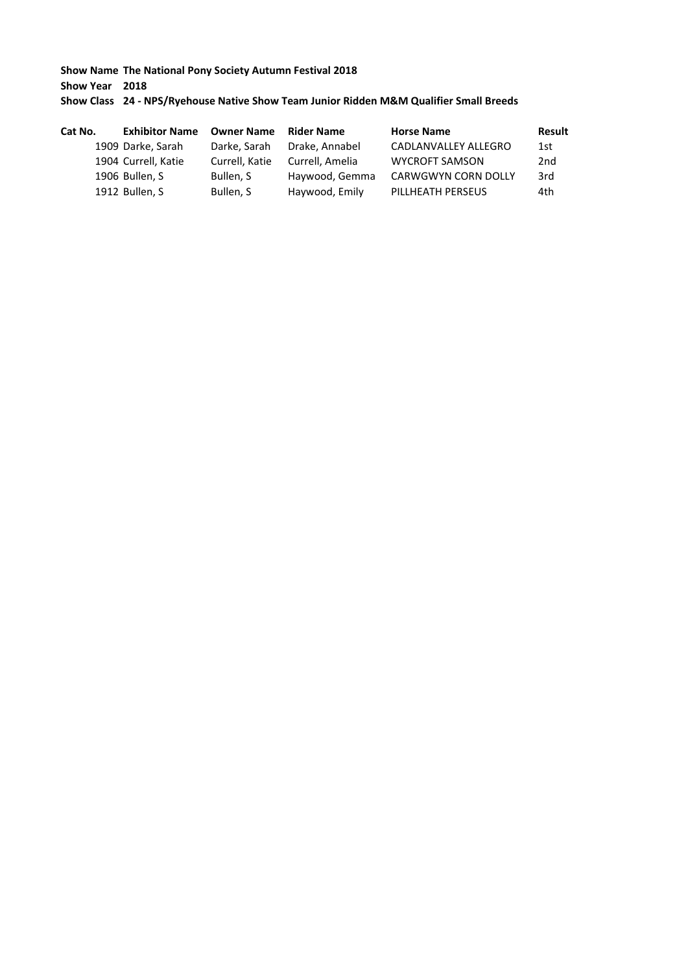**Show Year 2018**

## **Show Class 24 - NPS/Ryehouse Native Show Team Junior Ridden M&M Qualifier Small Breeds**

| Cat No. | <b>Exhibitor Name</b> | <b>Owner Name</b> | <b>Rider Name</b> | <b>Horse Name</b>     | <b>Result</b> |
|---------|-----------------------|-------------------|-------------------|-----------------------|---------------|
|         | 1909 Darke, Sarah     | Darke, Sarah      | Drake, Annabel    | CADLANVALLEY ALLEGRO  | 1st           |
|         | 1904 Currell, Katie   | Currell, Katie    | Currell, Amelia   | <b>WYCROFT SAMSON</b> | 2nd           |
|         | 1906 Bullen, S        | Bullen, S         | Haywood, Gemma    | CARWGWYN CORN DOLLY   | 3rd           |
|         | 1912 Bullen, S        | Bullen, S         | Haywood, Emily    | PILLHEATH PERSEUS     | 4th           |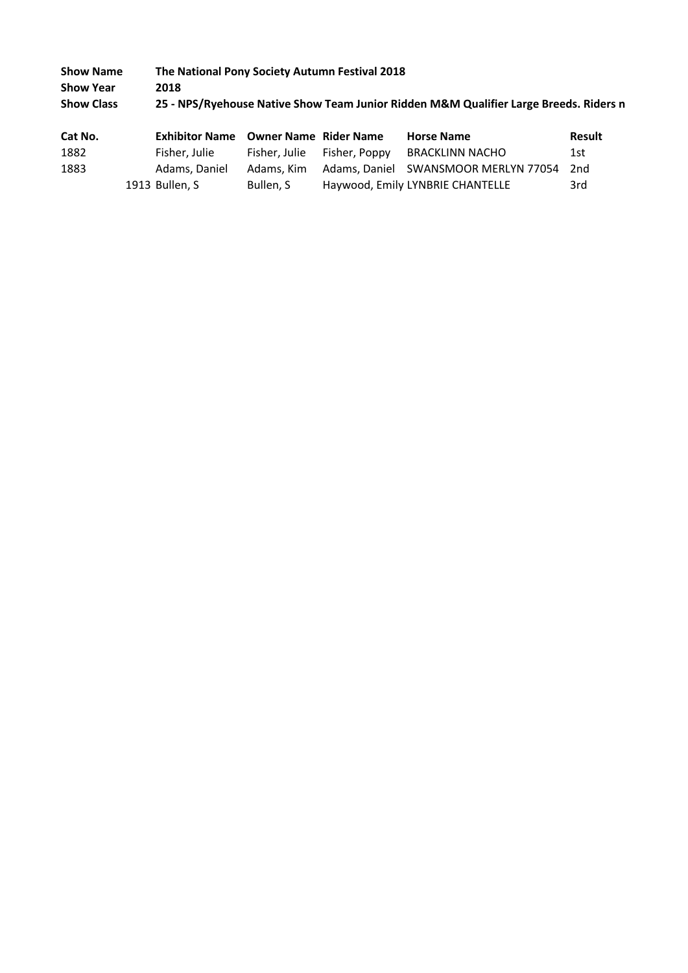| <b>Show Name</b>  |                       | The National Pony Society Autumn Festival 2018                                        |                   |        |  |  |
|-------------------|-----------------------|---------------------------------------------------------------------------------------|-------------------|--------|--|--|
| <b>Show Year</b>  | 2018                  |                                                                                       |                   |        |  |  |
| <b>Show Class</b> |                       | 25 - NPS/Ryehouse Native Show Team Junior Ridden M&M Qualifier Large Breeds. Riders n |                   |        |  |  |
| Cat No.           | <b>Exhibitor Name</b> | <b>Owner Name Rider Name</b>                                                          | <b>Horse Name</b> | Result |  |  |

| <b></b> | CANDINU RUNG OWNER RUNG NUCLIGATIC |           |                             |                                                     | .   |
|---------|------------------------------------|-----------|-----------------------------|-----------------------------------------------------|-----|
| 1882    | Fisher, Julie                      |           | Fisher, Julie Fisher, Poppy | BRACKLINN NACHO                                     | 1st |
| 1883    | Adams, Daniel                      |           |                             | Adams, Kim Adams, Daniel SWANSMOOR MERLYN 77054 2nd |     |
|         | 1913 Bullen, S                     | Bullen. S |                             | Haywood, Emily LYNBRIE CHANTELLE                    | 3rd |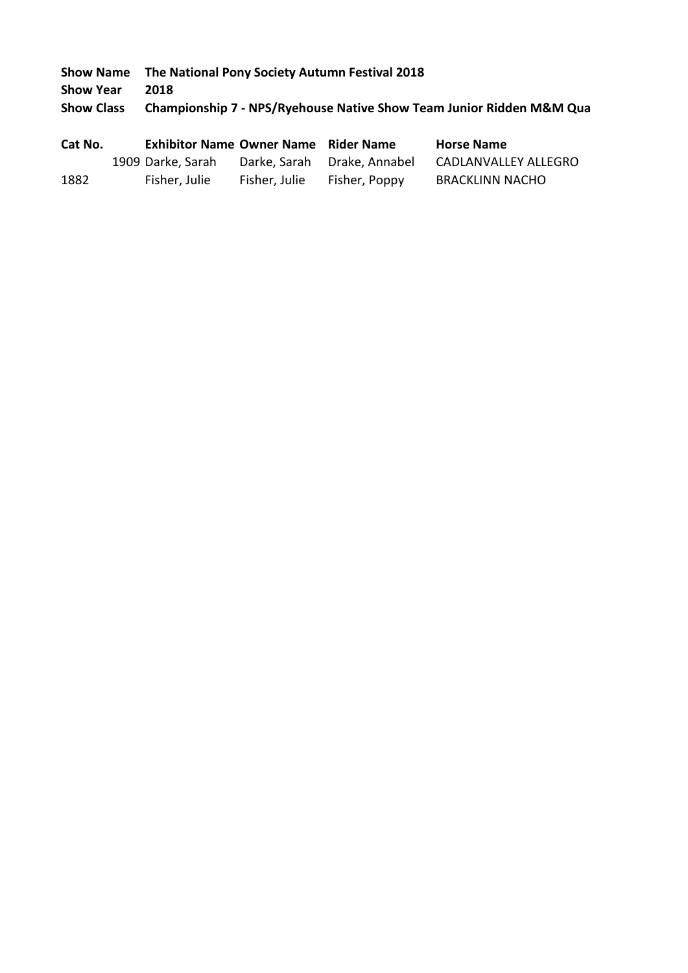**Show Year 2018**

**Show Class Championship 7 - NPS/Ryehouse Native Show Team Junior Ridden M&M Qua** 

| Cat No. | <b>Exhibitor Name Owner Name Rider Name</b> |               |                             | <b>Horse Name</b>      |
|---------|---------------------------------------------|---------------|-----------------------------|------------------------|
|         | 1909 Darke, Sarah                           |               | Darke, Sarah Drake, Annabel | CADLANVALLEY ALLEGRO   |
| 1882    | Fisher, Julie                               | Fisher, Julie | Fisher, Poppy               | <b>BRACKLINN NACHO</b> |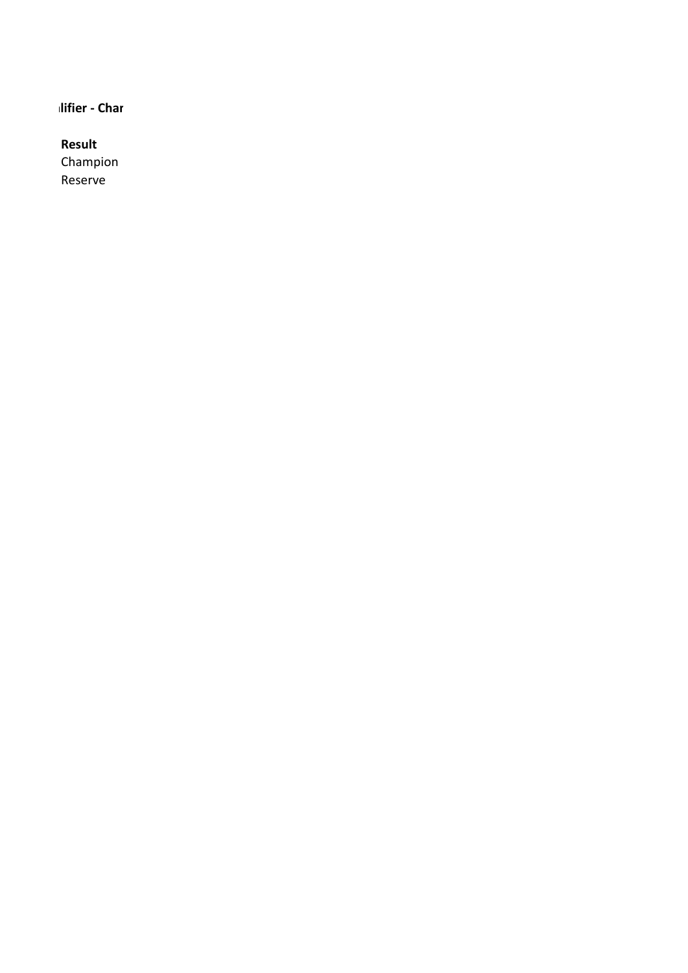# **Ilifier - Char**

# **Result**

Champion Reserve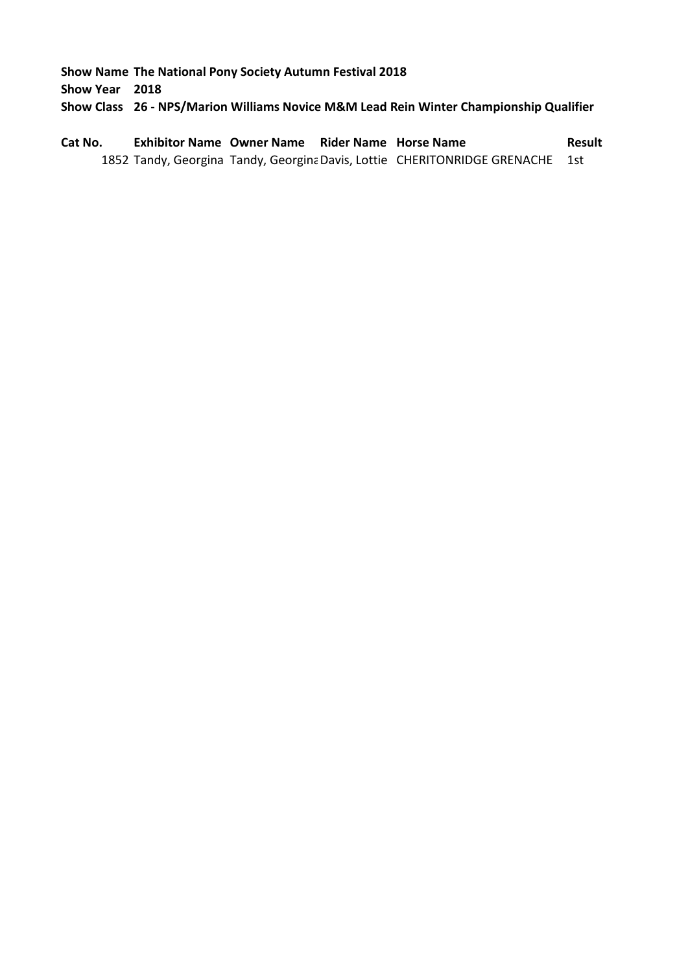**Show Year 2018**

**Show Class 26 - NPS/Marion Williams Novice M&M Lead Rein Winter Championship Qualifier**

**Cat No. Exhibitor Name Owner Name Rider Name Horse Name Result** 1852 Tandy, Georgina Tandy, Georgina Davis, Lottie CHERITONRIDGE GRENACHE 1st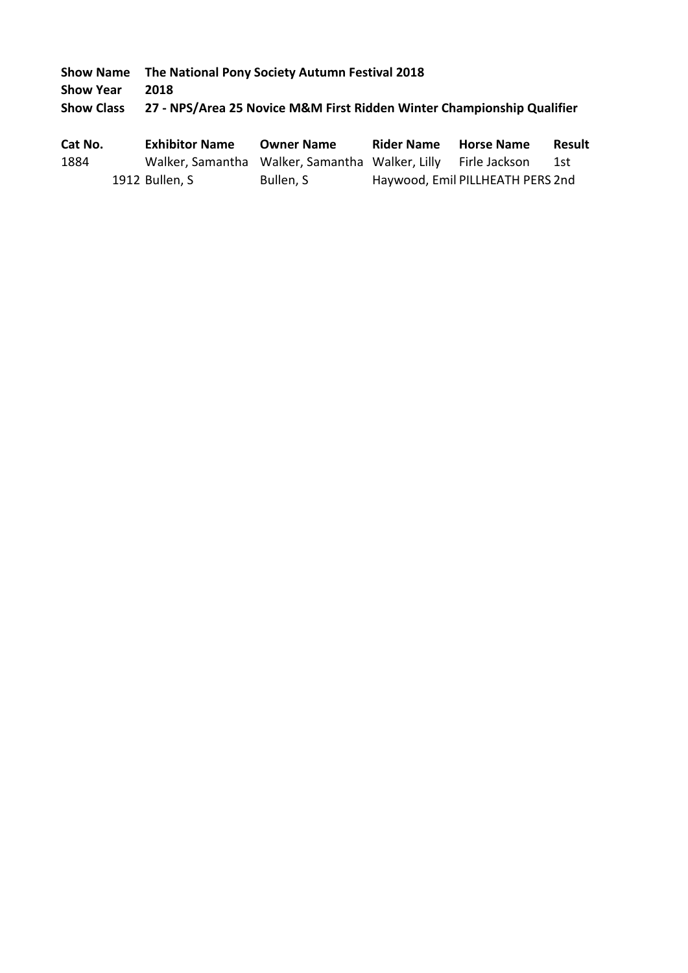**Show Name The National Pony Society Autumn Festival 2018 Show Year 2018**

**Show Class 27 - NPS/Area 25 Novice M&M First Ridden Winter Championship Qualifier**

| Cat No. |                | <b>Exhibitor Name</b> | <b>Owner Name</b>                                             | <b>Rider Name</b> | <b>Horse Name</b>                | <b>Result</b> |
|---------|----------------|-----------------------|---------------------------------------------------------------|-------------------|----------------------------------|---------------|
| 1884    |                |                       | Walker, Samantha Walker, Samantha Walker, Lilly Firle Jackson |                   |                                  | -1st          |
|         | 1912 Bullen, S |                       | Bullen, S                                                     |                   | Haywood, Emil PILLHEATH PERS 2nd |               |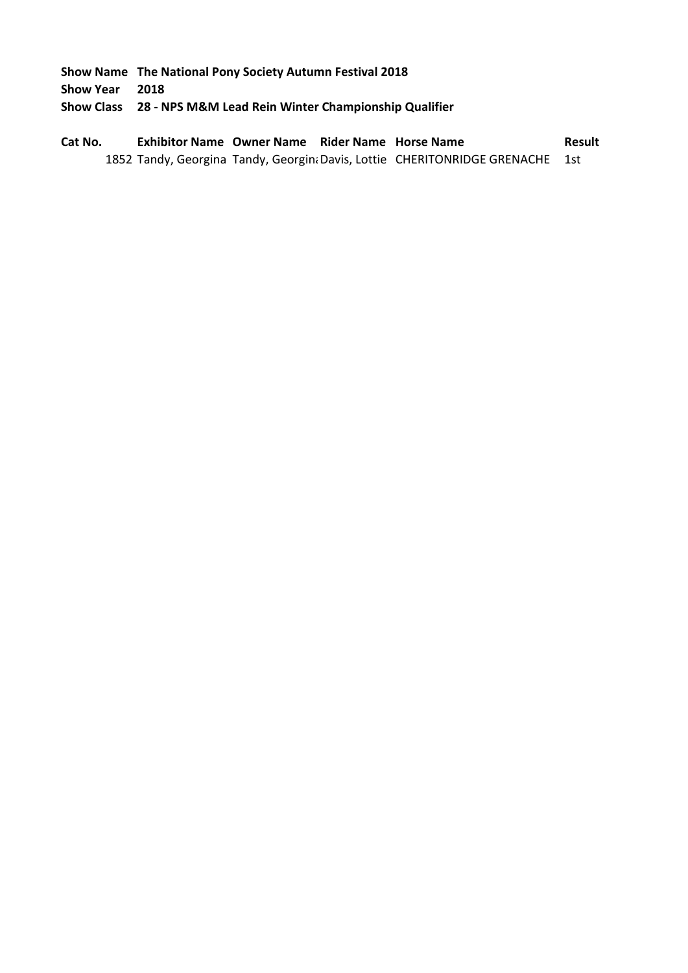**Show Year 2018**

**Show Class 28 - NPS M&M Lead Rein Winter Championship Qualifier**

**Cat No. Exhibitor Name Owner Name Rider Name Horse Name Result** 1852 Tandy, Georgina Tandy, Georgin; Davis, Lottie CHERITONRIDGE GRENACHE 1st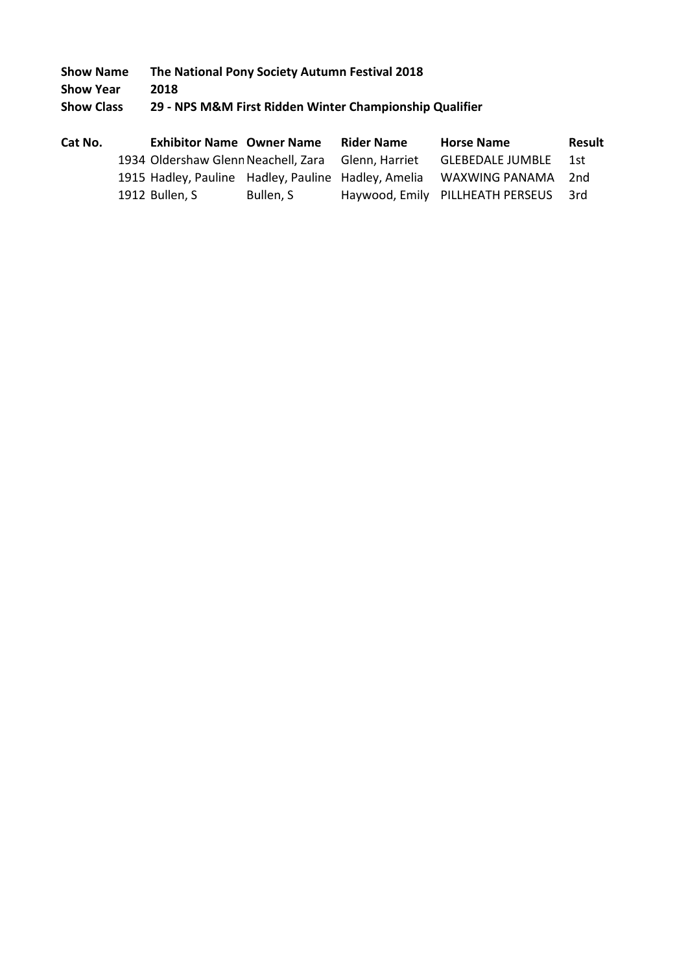**Show Name The National Pony Society Autumn Festival 2018 Show Year 2018**

**Show Class 29 - NPS M&M First Ridden Winter Championship Qualifier**

| Cat No. | <b>Exhibitor Name Owner Name</b>                    |           | <b>Rider Name</b> | <b>Horse Name</b>                | <b>Result</b> |
|---------|-----------------------------------------------------|-----------|-------------------|----------------------------------|---------------|
|         | 1934 Oldershaw Glenn Neachell, Zara                 |           | Glenn, Harriet    | <b>GLEBEDALE JUMBLE</b>          | 1st           |
|         | 1915 Hadley, Pauline Hadley, Pauline Hadley, Amelia |           |                   | WAXWING PANAMA                   | 2nd           |
|         | 1912 Bullen, S                                      | Bullen, S |                   | Haywood, Emily PILLHEATH PERSEUS | - 3rd         |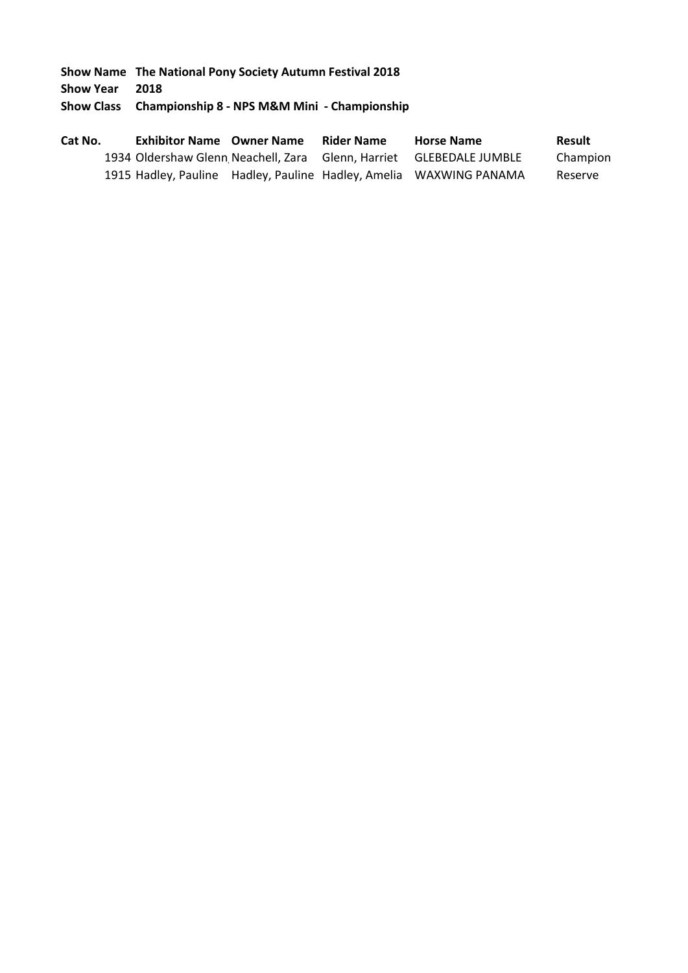**Show Year 2018**

**Show Class Championship 8 - NPS M&M Mini - Championship**

| Cat No. | <b>Exhibitor Name Owner Name</b>                                    | <b>Rider Name</b> | <b>Horse Name</b> | Result   |
|---------|---------------------------------------------------------------------|-------------------|-------------------|----------|
|         | 1934 Oldershaw Glenn Neachell, Zara Glenn, Harriet GLEBEDALE JUMBLE |                   |                   | Champion |
|         | 1915 Hadley, Pauline Hadley, Pauline Hadley, Amelia WAXWING PANAMA  |                   |                   | Reserve  |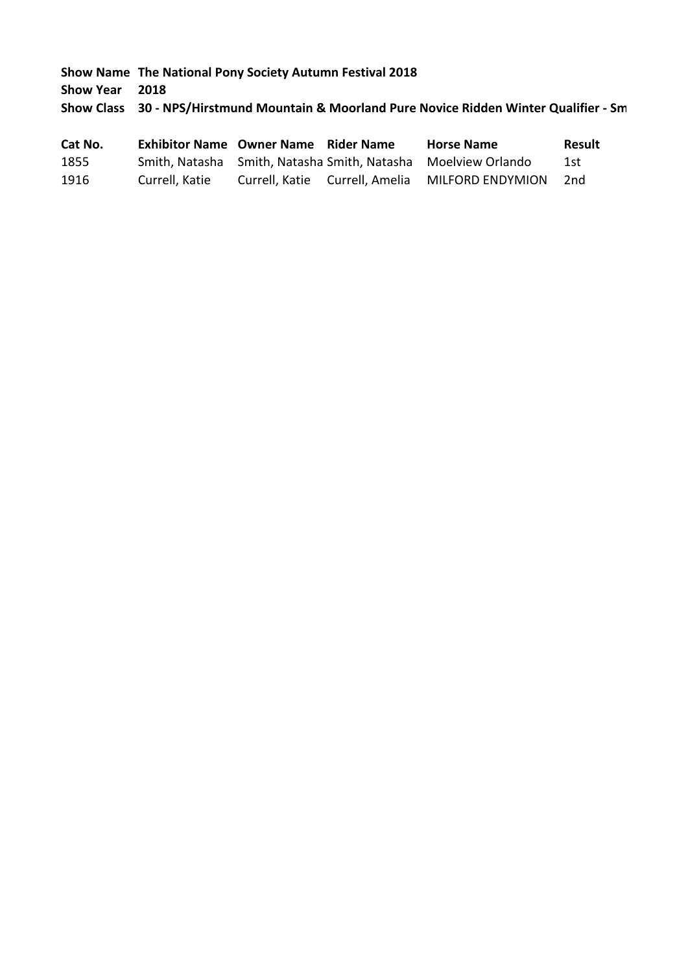**Show Year 2018**

**Show Class 30 - NPS/Hirstmund Mountain & Moorland Pure Novice Ridden Winter Qualifier - Sm** 

| Cat No. | <b>Exhibitor Name Owner Name</b> | <b>Rider Name</b> | <b>Horse Name</b>                                             | Result |
|---------|----------------------------------|-------------------|---------------------------------------------------------------|--------|
| 1855    |                                  |                   | Smith, Natasha Smith, Natasha Smith, Natasha Moelview Orlando | 1st    |
| 1916    | Currell, Katie                   |                   | Currell, Katie Currell, Amelia MILFORD ENDYMION               | 2nd    |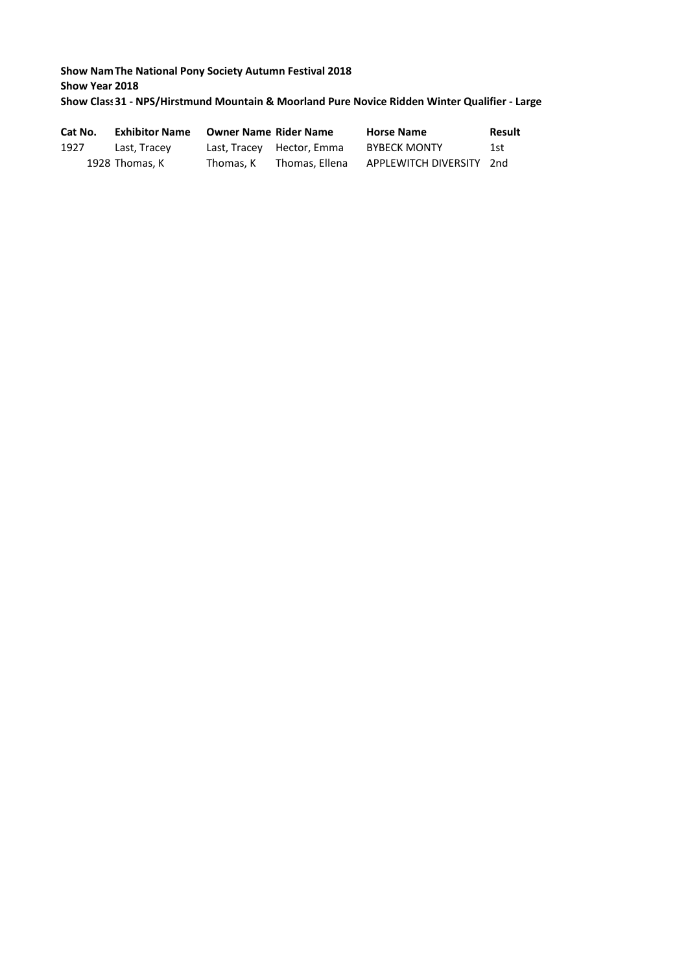# **Show Nam The National Pony Society Autumn Festival 2018 Show Year 2018** Show Class 31 - NPS/Hirstmund Mountain & Moorland Pure Novice Ridden Winter Qualifier - Large

| Cat No. | <b>Exhibitor Name</b> | <b>Owner Name Rider Name</b> |                           | <b>Horse Name</b>        | Result |
|---------|-----------------------|------------------------------|---------------------------|--------------------------|--------|
| 1927    | Last, Tracey          |                              | Last, Tracey Hector, Emma | <b>BYBECK MONTY</b>      | 1st    |
|         | 1928 Thomas. K        | Thomas. K                    | Thomas. Ellena            | APPLEWITCH DIVERSITY 2nd |        |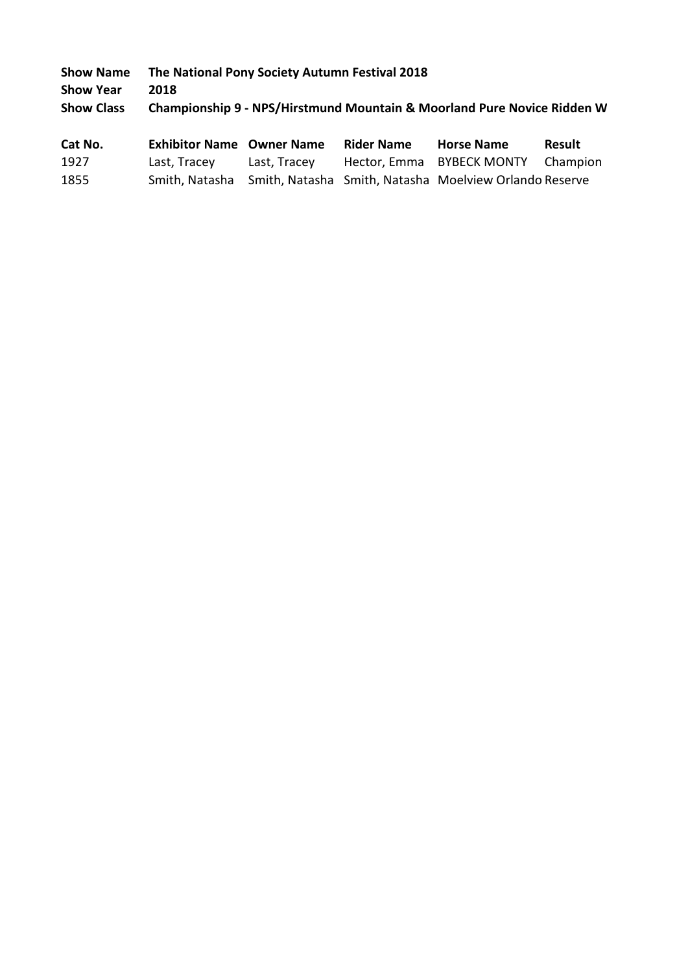| <b>Show Name</b>  | The National Pony Society Autumn Festival 2018                          |
|-------------------|-------------------------------------------------------------------------|
| <b>Show Year</b>  | 2018                                                                    |
| <b>Show Class</b> | Championship 9 - NPS/Hirstmund Mountain & Moorland Pure Novice Ridden W |
|                   |                                                                         |

| Cat No. | <b>Exhibitor Name Owner Name</b> |              | <b>Rider Name</b> | <b>Horse Name</b>                                                     | Result |
|---------|----------------------------------|--------------|-------------------|-----------------------------------------------------------------------|--------|
| 1927    | Last, Tracey                     | Last. Tracev |                   | Hector, Emma BYBECK MONTY Champion                                    |        |
| 1855    |                                  |              |                   | Smith, Natasha Smith, Natasha Smith, Natasha Moelview Orlando Reserve |        |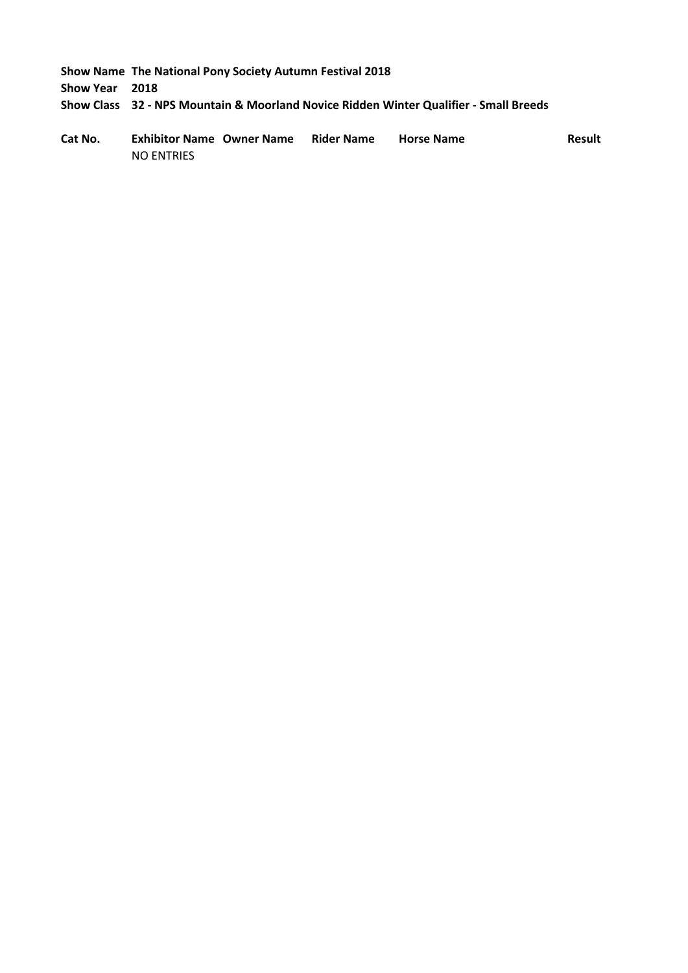**Show Year 2018**

**Show Class 32 - NPS Mountain & Moorland Novice Ridden Winter Qualifier - Small Breeds**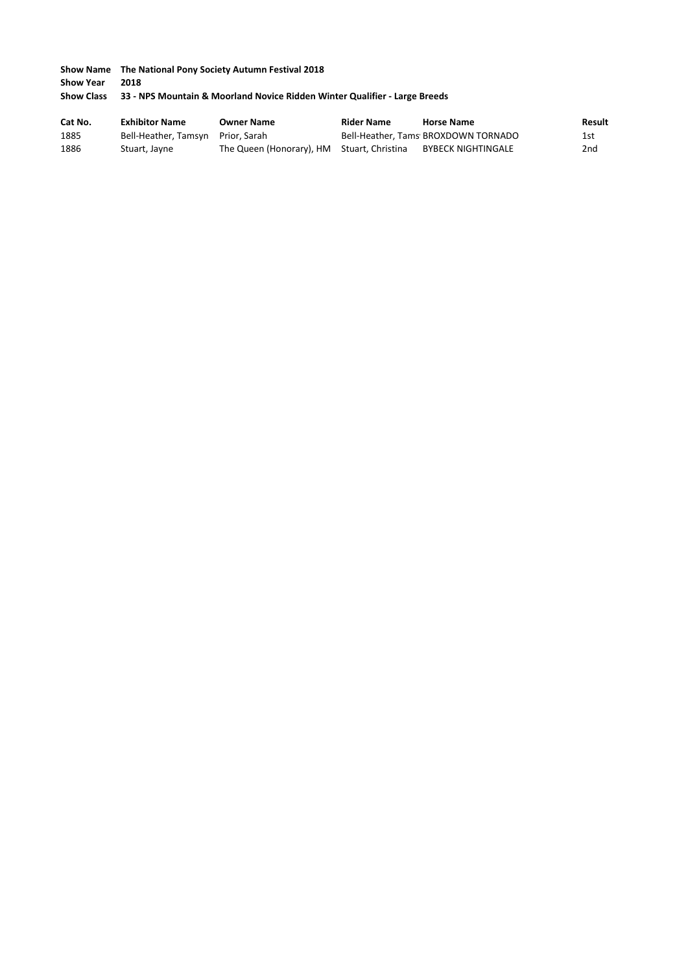|                   | <b>Show Name</b> The National Pony Society Autumn Festival 2018            |
|-------------------|----------------------------------------------------------------------------|
| <b>Show Year</b>  | 2018                                                                       |
| <b>Show Class</b> | 33 - NPS Mountain & Moorland Novice Ridden Winter Qualifier - Large Breeds |

| Cat No. | <b>Exhibitor Name</b>             | <b>Owner Name</b>                          | <b>Rider Name</b> | <b>Horse Name</b>                   | <b>Result</b> |
|---------|-----------------------------------|--------------------------------------------|-------------------|-------------------------------------|---------------|
| 1885    | Bell-Heather, Tamsyn Prior, Sarah |                                            |                   | Bell-Heather, Tams BROXDOWN TORNADO | 1st           |
| 1886    | Stuart, Jayne                     | The Queen (Honorary), HM Stuart, Christina |                   | BYBECK NIGHTINGALE                  | 2nd           |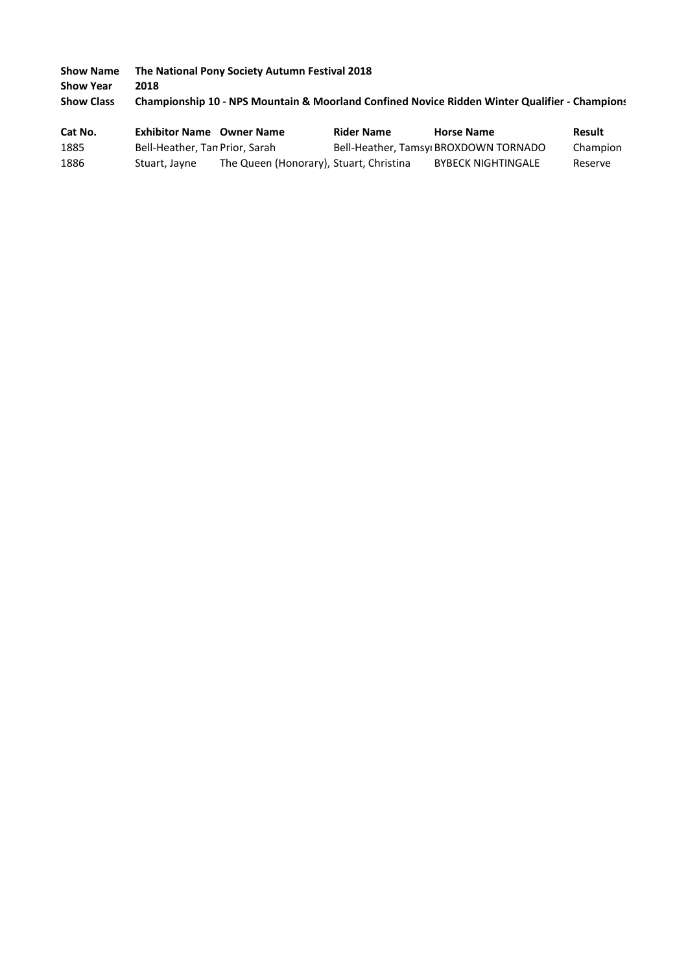**Show Name The National Pony Society Autumn Festival 2018 Show Year 2018 Show Class Championship 10 - NPS Mountain & Moorland Confined Novice Ridden Winter Qualifier - Championship**

| Cat No. | <b>Exhibitor Name</b> Owner Name |                                         | <b>Rider Name</b> | <b>Horse Name</b>                     | Result   |
|---------|----------------------------------|-----------------------------------------|-------------------|---------------------------------------|----------|
| 1885    | Bell-Heather, Tan Prior, Sarah   |                                         |                   | Bell-Heather, Tamsyi BROXDOWN TORNADO | Champion |
| 1886    | Stuart, Jayne                    | The Queen (Honorary), Stuart, Christina |                   | <b>BYBECK NIGHTINGALE</b>             | Reserve  |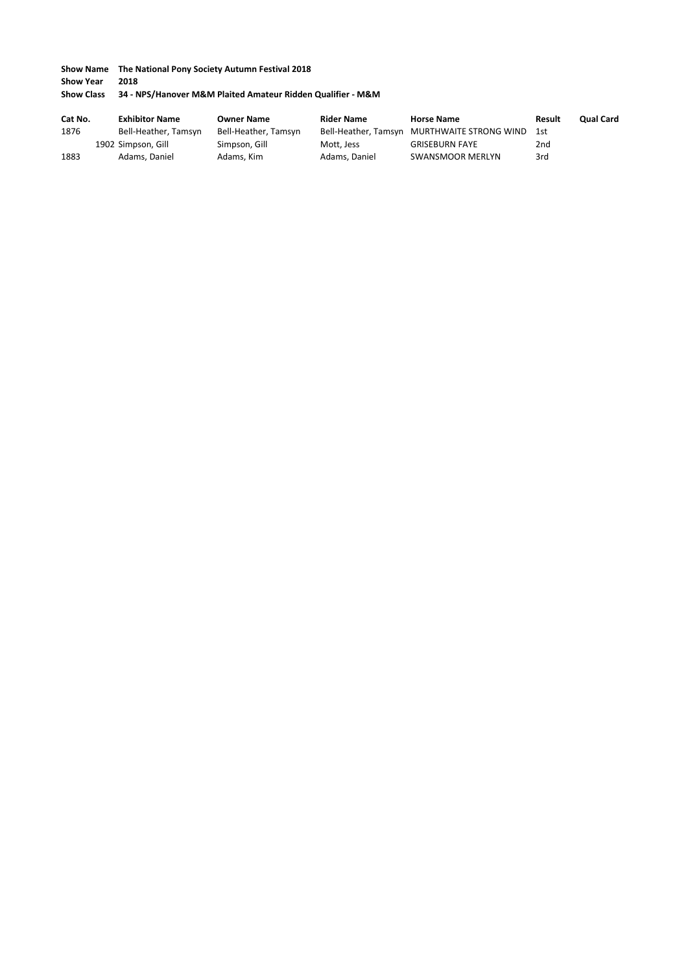**Show Year 2018**

#### **Show Class 34 - NPS/Hanover M&M Plaited Amateur Ridden Qualifier - M&M**

| Cat No. | <b>Exhibitor Name</b> | <b>Owner Name</b>    | <b>Rider Name</b> | <b>Horse Name</b>                           | Result | <b>Qual Card</b> |
|---------|-----------------------|----------------------|-------------------|---------------------------------------------|--------|------------------|
| 1876    | Bell-Heather, Tamsyn  | Bell-Heather, Tamsyn |                   | Bell-Heather, Tamsyn MURTHWAITE STRONG WIND | 1st    |                  |
|         | 1902 Simpson, Gill    | Simpson, Gill        | Mott, Jess        | <b>GRISEBURN FAYE</b>                       | 2nd    |                  |
| 1883    | Adams, Daniel         | Adams, Kim           | Adams, Daniel     | SWANSMOOR MERLYN                            | 3rd    |                  |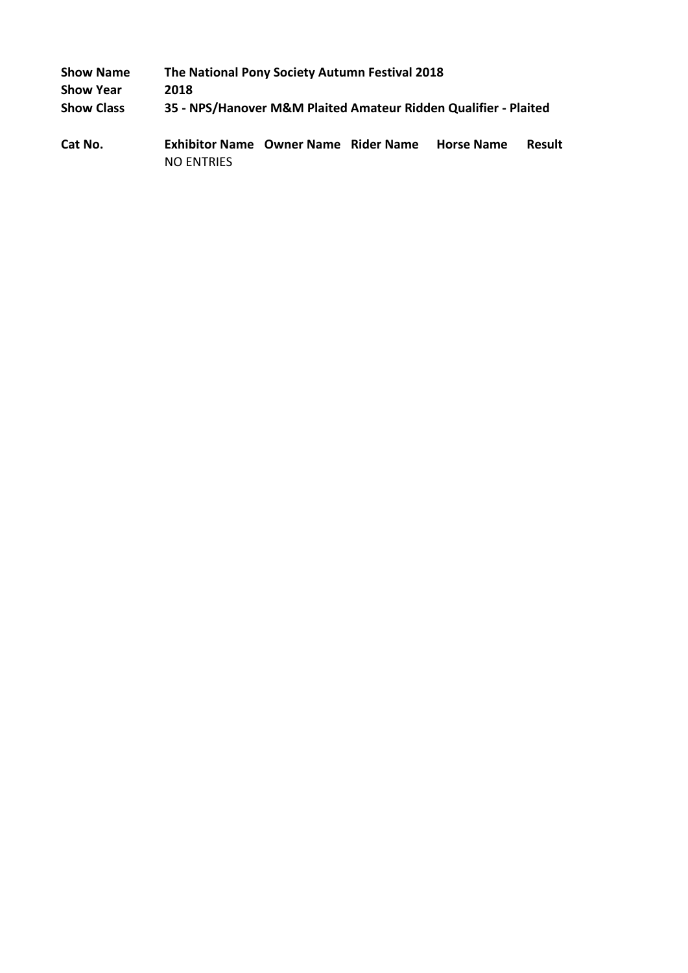| 2018 |                   |  |                                                                                                                                                                      |
|------|-------------------|--|----------------------------------------------------------------------------------------------------------------------------------------------------------------------|
|      |                   |  |                                                                                                                                                                      |
|      |                   |  | <b>Result</b>                                                                                                                                                        |
|      | <b>NO ENTRIES</b> |  | The National Pony Society Autumn Festival 2018<br>35 - NPS/Hanover M&M Plaited Amateur Ridden Qualifier - Plaited<br>Exhibitor Name Owner Name Rider Name Horse Name |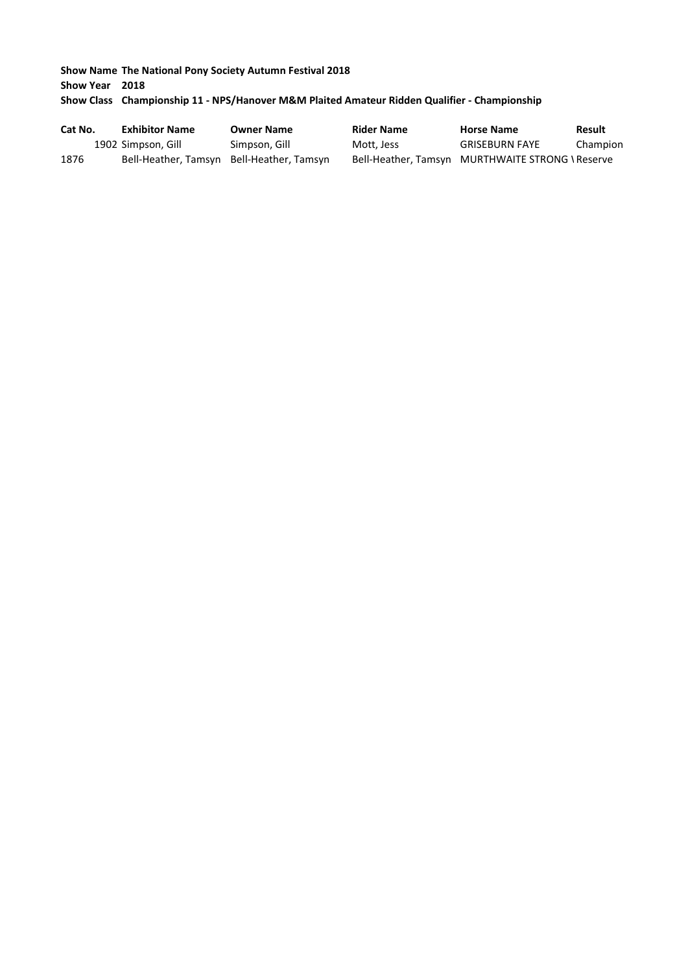# **Show Name The National Pony Society Autumn Festival 2018 Show Year 2018 Show Class Championship 11 - NPS/Hanover M&M Plaited Amateur Ridden Qualifier - Championship**

| Cat No. | <b>Exhibitor Name</b>                     | <b>Owner Name</b> | <b>Rider Name</b> | <b>Horse Name</b>                                | Result   |
|---------|-------------------------------------------|-------------------|-------------------|--------------------------------------------------|----------|
|         | 1902 Simpson, Gill                        | Simpson, Gill     | Mott, Jess        | <b>GRISEBURN FAYE</b>                            | Champion |
| 1876    | Bell-Heather, Tamsyn Bell-Heather, Tamsyn |                   |                   | Bell-Heather, Tamsyn MURTHWAITE STRONG \ Reserve |          |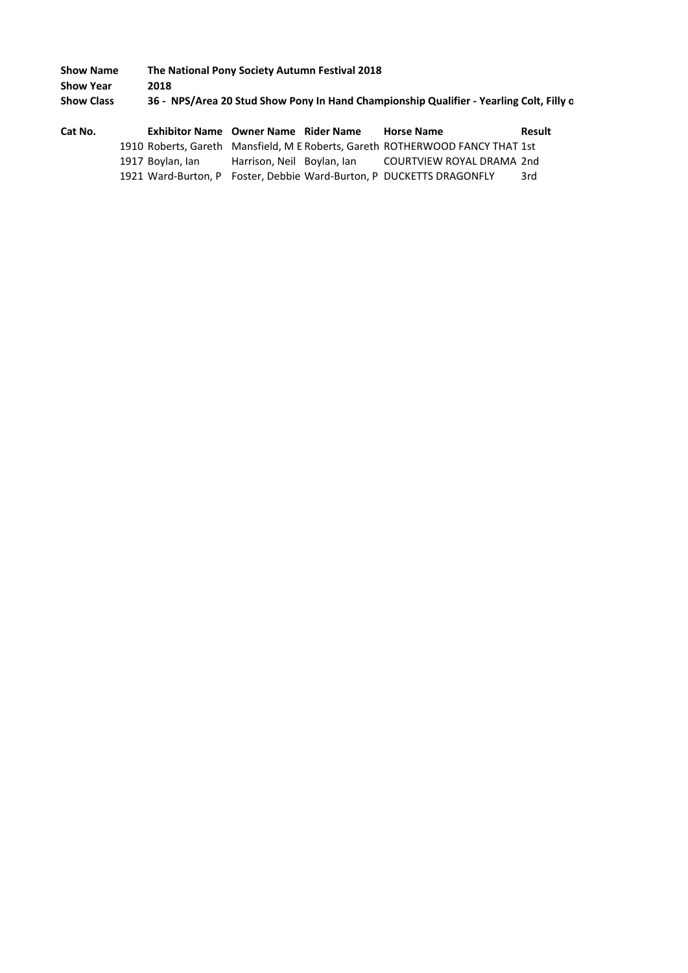| <b>Show Name</b>  | The National Pony Society Autumn Festival 2018                                          |
|-------------------|-----------------------------------------------------------------------------------------|
| Show Year         | 2018                                                                                    |
| <b>Show Class</b> | 36 - NPS/Area 20 Stud Show Pony In Hand Championship Qualifier - Yearling Colt, Filly o |
|                   |                                                                                         |

| Cat No. | Exhibitor Name Owner Name Rider Name |                            | <b>Horse Name</b>                                                             | Result |
|---------|--------------------------------------|----------------------------|-------------------------------------------------------------------------------|--------|
|         |                                      |                            | 1910 Roberts, Gareth Mansfield, M E Roberts, Gareth ROTHERWOOD FANCY THAT 1st |        |
|         | 1917 Boylan, Ian                     | Harrison, Neil Boylan, Ian | COURTVIEW ROYAL DRAMA 2nd                                                     |        |
|         |                                      |                            | 1921 Ward-Burton, P Foster, Debbie Ward-Burton, P DUCKETTS DRAGONFLY          | 3rd    |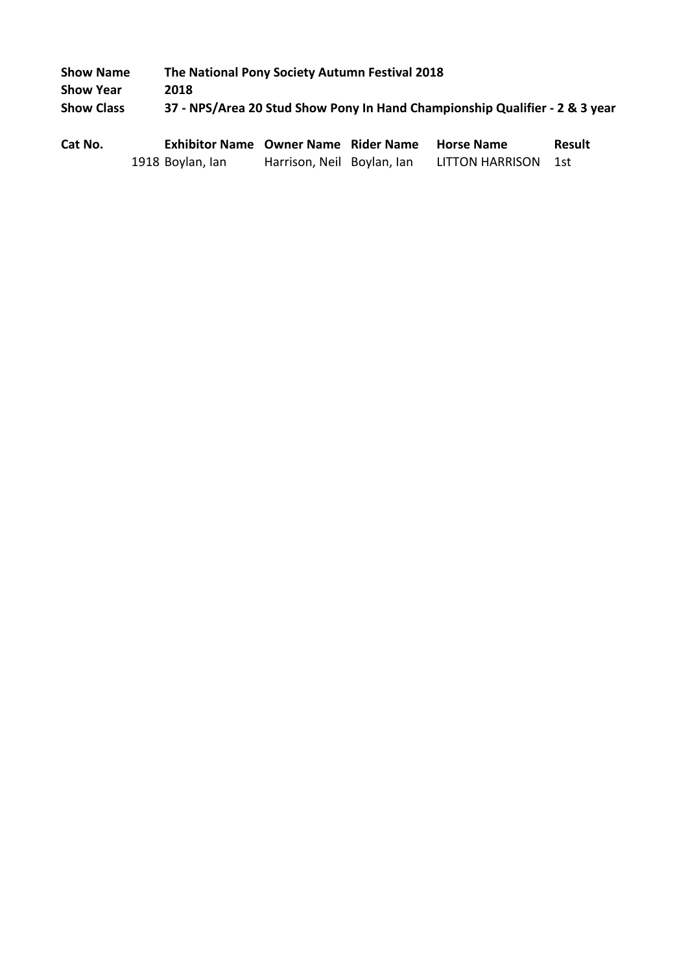| <b>Show Name</b>  | The National Pony Society Autumn Festival 2018                              |
|-------------------|-----------------------------------------------------------------------------|
| <b>Show Year</b>  | 2018                                                                        |
| <b>Show Class</b> | 37 - NPS/Area 20 Stud Show Pony In Hand Championship Qualifier - 2 & 3 year |

| Cat No. | Exhibitor Name Owner Name Rider Name |                            | <b>Horse Name</b>   | <b>Result</b> |
|---------|--------------------------------------|----------------------------|---------------------|---------------|
|         | 1918 Boylan, Ian                     | Harrison, Neil Boylan, Ian | LITTON HARRISON 1st |               |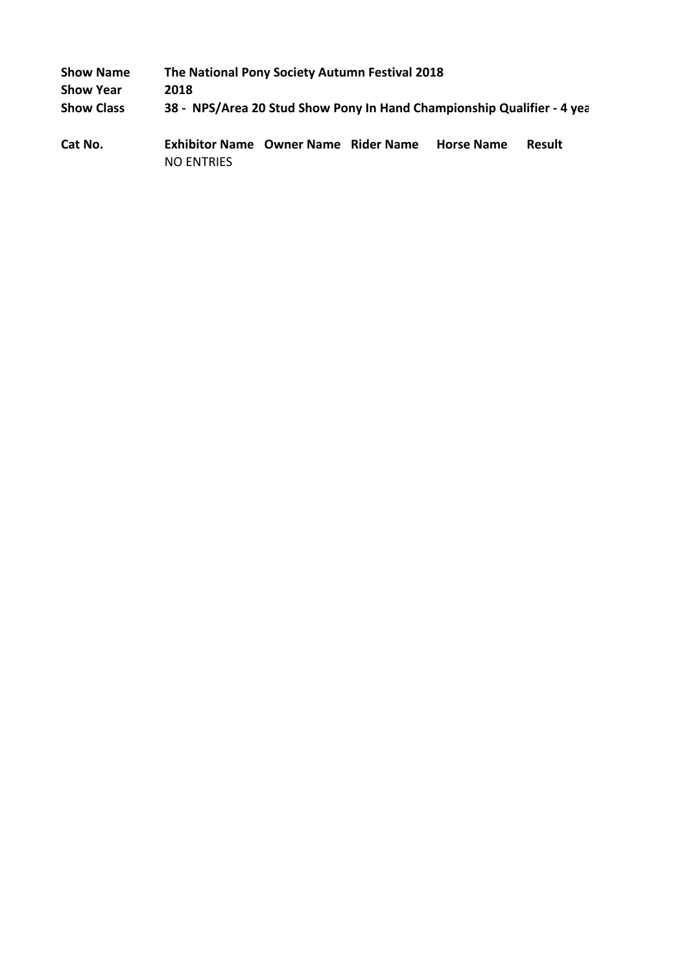| <b>Show Name</b>  | The National Pony Society Autumn Festival 2018                         |  |                   |        |
|-------------------|------------------------------------------------------------------------|--|-------------------|--------|
| <b>Show Year</b>  | 2018                                                                   |  |                   |        |
| <b>Show Class</b> | 38 - NPS/Area 20 Stud Show Pony In Hand Championship Qualifier - 4 yea |  |                   |        |
| Cat No.           | <b>Exhibitor Name Owner Name Rider Name</b><br><b>NO ENTRIES</b>       |  | <b>Horse Name</b> | Result |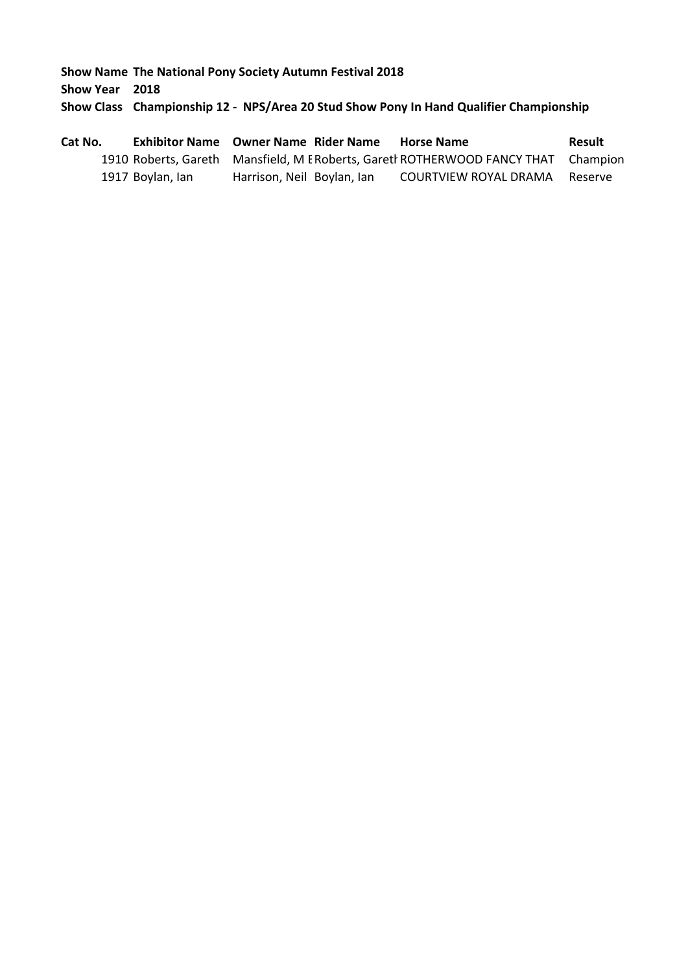**Show Name The National Pony Society Autumn Festival 2018 Show Year 2018 Show Class Championship 12 - NPS/Area 20 Stud Show Pony In Hand Qualifier Championship**

| Cat No. |                  | <b>Exhibitor Name Owner Name Rider Name</b>                                        | <b>Horse Name</b>     | Result  |
|---------|------------------|------------------------------------------------------------------------------------|-----------------------|---------|
|         |                  | 1910 Roberts, Gareth Mansfield, M E Roberts, Garetl ROTHERWOOD FANCY THAT Champion |                       |         |
|         | 1917 Boylan, lan | Harrison, Neil Boylan, Ian                                                         | COURTVIEW ROYAL DRAMA | Reserve |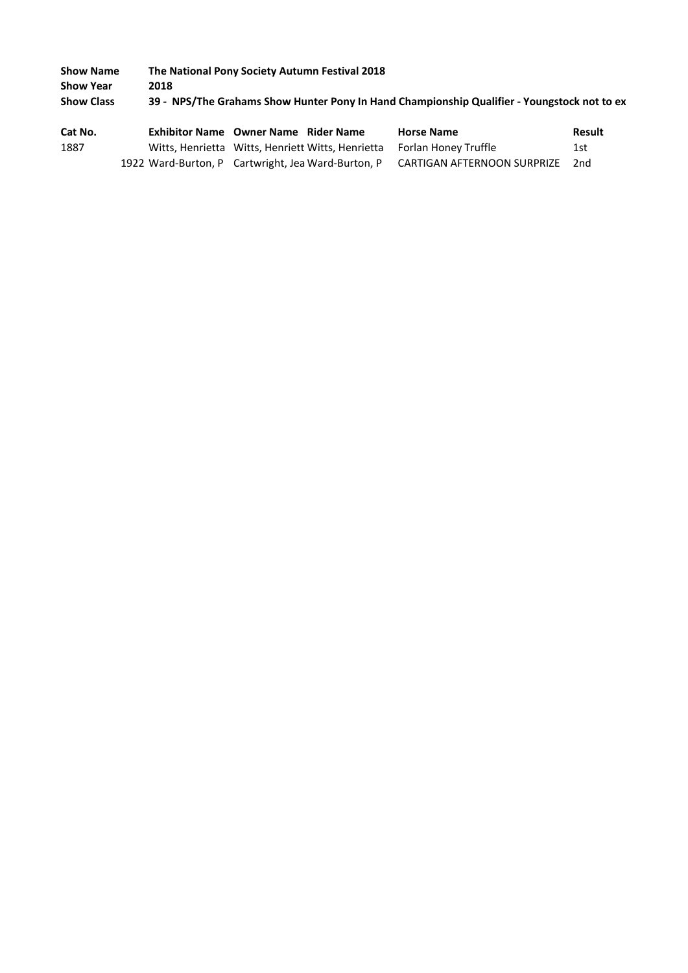| <b>Show Name</b>  | The National Pony Society Autumn Festival 2018 |      |                                                   |                                                                                             |        |
|-------------------|------------------------------------------------|------|---------------------------------------------------|---------------------------------------------------------------------------------------------|--------|
| <b>Show Year</b>  |                                                | 2018 |                                                   |                                                                                             |        |
| <b>Show Class</b> |                                                |      |                                                   | 39 - NPS/The Grahams Show Hunter Pony In Hand Championship Qualifier - Youngstock not to ex |        |
|                   |                                                |      |                                                   |                                                                                             |        |
| Cat No.           |                                                |      | <b>Exhibitor Name Owner Name Rider Name</b>       | <b>Horse Name</b>                                                                           | Result |
| 1887              |                                                |      |                                                   |                                                                                             | 1st    |
|                   |                                                |      | Witts, Henrietta Witts, Henriett Witts, Henrietta | Forlan Honey Truffle                                                                        |        |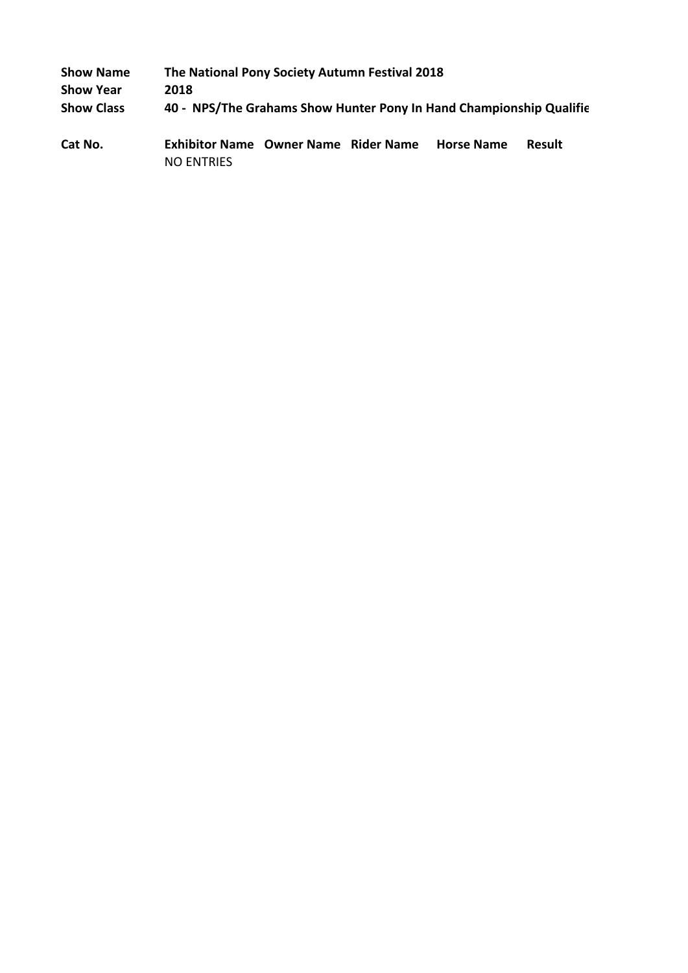| <b>Show Name</b>  | The National Pony Society Autumn Festival 2018                      |  |  |                   |               |  |  |
|-------------------|---------------------------------------------------------------------|--|--|-------------------|---------------|--|--|
| <b>Show Year</b>  | 2018                                                                |  |  |                   |               |  |  |
| <b>Show Class</b> | 40 - NPS/The Grahams Show Hunter Pony In Hand Championship Qualifie |  |  |                   |               |  |  |
| Cat No.           | <b>Exhibitor Name Owner Name Rider Name</b><br><b>NO ENTRIES</b>    |  |  | <b>Horse Name</b> | <b>Result</b> |  |  |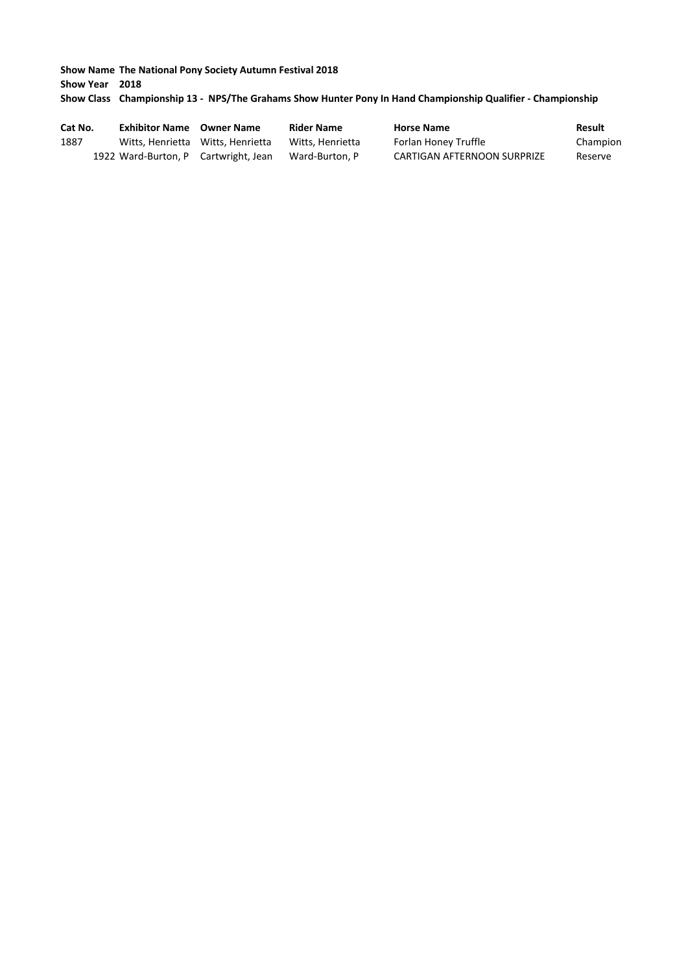**Show Name The National Pony Society Autumn Festival 2018 Show Year 2018 Show Class Championship 13 - NPS/The Grahams Show Hunter Pony In Hand Championship Qualifier - Championship**

| Cat No. | <b>Exhibitor Name</b> Owner Name     | <b>Rider Name</b> | <b>Horse Name</b>           | Result   |
|---------|--------------------------------------|-------------------|-----------------------------|----------|
| 1887    | Witts. Henrietta Witts. Henrietta    | Witts, Henrietta  | Forlan Honey Truffle        | Champion |
|         | 1922 Ward-Burton, P Cartwright, Jean | Ward-Burton, P    | CARTIGAN AFTERNOON SURPRIZE | Reserve  |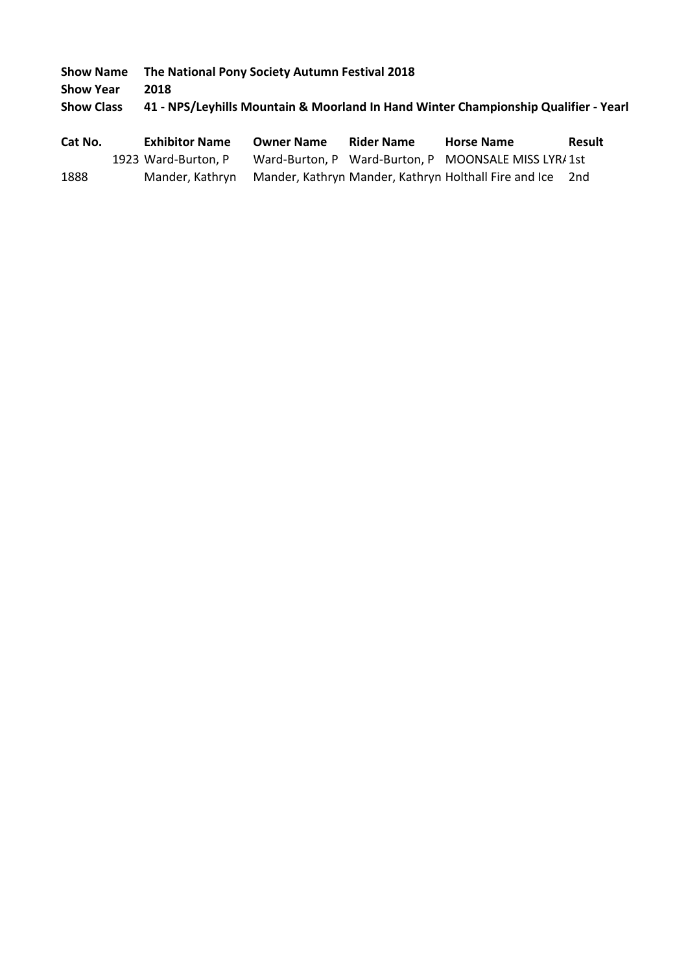**Show Year 2018**

**Show Class 41 - NPS/Leyhills Mountain & Moorland In Hand Winter Championship Qualifier - Yearl** 

| Cat No. | <b>Exhibitor Name</b> | <b>Owner Name</b> | <b>Rider Name</b> | <b>Horse Name</b>                                                         | <b>Result</b> |
|---------|-----------------------|-------------------|-------------------|---------------------------------------------------------------------------|---------------|
|         | 1923 Ward-Burton, P   |                   |                   | Ward-Burton, P Ward-Burton, P MOONSALE MISS LYR/1st                       |               |
| 1888    |                       |                   |                   | Mander, Kathryn Mander, Kathryn Mander, Kathryn Holthall Fire and Ice 2nd |               |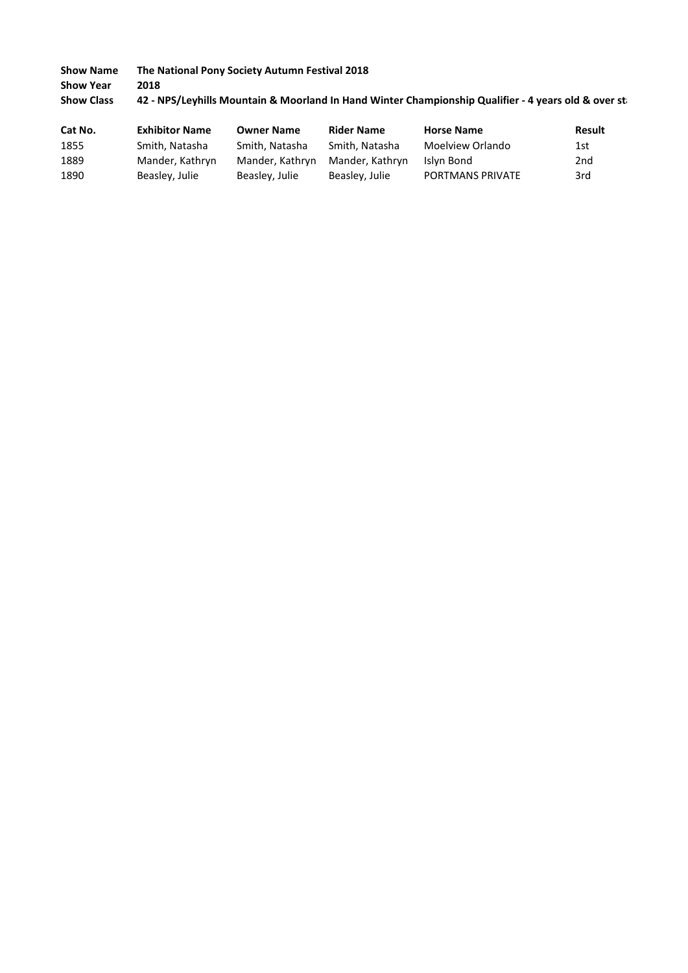**Show Name The National Pony Society Autumn Festival 2018 Show Year 2018** Show Class **42 - NPS/Leyhills Mountain & Moorland In Hand Winter Championship Qualifier - 4 years old & over st** 

| Cat No. | <b>Exhibitor Name</b> | <b>Owner Name</b> | <b>Rider Name</b> | <b>Horse Name</b>       | Result          |
|---------|-----------------------|-------------------|-------------------|-------------------------|-----------------|
| 1855    | Smith, Natasha        | Smith. Natasha    | Smith. Natasha    | Moelview Orlando        | 1st             |
| 1889    | Mander, Kathryn       | Mander, Kathryn   | Mander, Kathryn   | Islyn Bond              | 2 <sub>nd</sub> |
| 1890    | Beasley, Julie        | Beasley, Julie    | Beasley, Julie    | <b>PORTMANS PRIVATE</b> | 3rd             |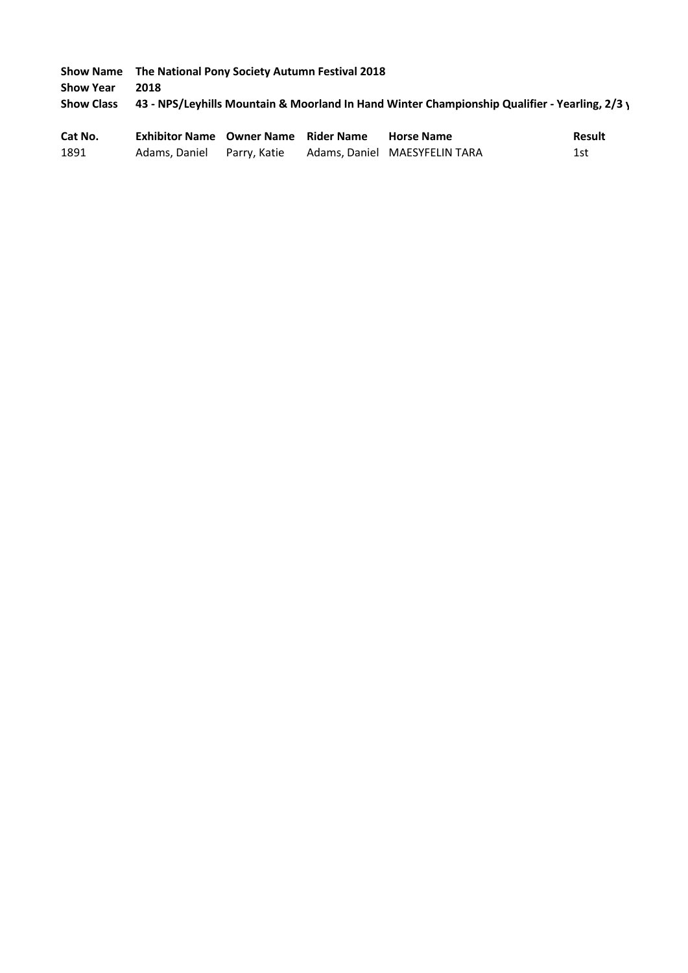**Show Name The National Pony Society Autumn Festival 2018 Show Year 2018 Show Class 43 - NPS/Leyhills Mountain & Moorland In Hand Winter Championship Qualifier - Yearling, 2/3 y Cat No. Exhibitor Name Owner Name Rider Name Horse Name Result**

| Cat No. | Exhibitor Name - Owner Name - Rider Name - |  | – Horse Name                  | <b>Result</b> |
|---------|--------------------------------------------|--|-------------------------------|---------------|
| 1891    | Adams, Daniel Parry, Katie                 |  | Adams, Daniel MAESYFELIN TARA | 1st           |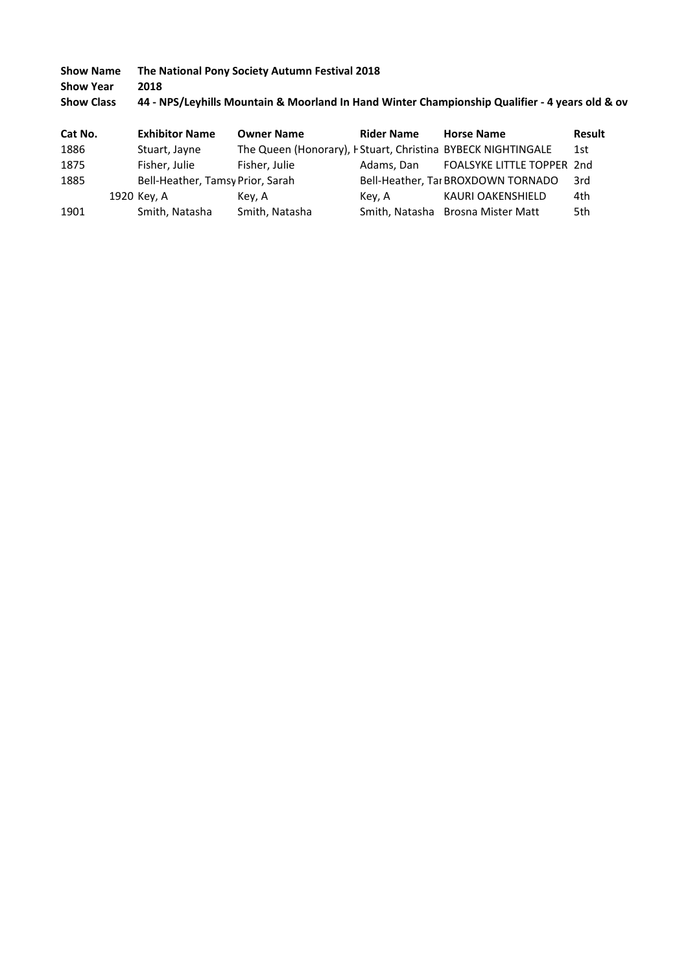# **Show Name The National Pony Society Autumn Festival 2018 Show Year 2018** Show Class **44 - NPS/Leyhills Mountain & Moorland In Hand Winter Championship Qualifier - 4 years old & ov**

| Cat No. | <b>Exhibitor Name</b>            | <b>Owner Name</b>                                            | <b>Rider Name</b> | <b>Horse Name</b>                  | <b>Result</b> |
|---------|----------------------------------|--------------------------------------------------------------|-------------------|------------------------------------|---------------|
| 1886    | Stuart, Jayne                    | The Queen (Honorary), I Stuart, Christina BYBECK NIGHTINGALE |                   |                                    | 1st           |
| 1875    | Fisher, Julie                    | Fisher, Julie                                                | Adams. Dan        | FOALSYKE LITTLE TOPPER 2nd         |               |
| 1885    | Bell-Heather, Tamsy Prior, Sarah |                                                              |                   | Bell-Heather, Tar BROXDOWN TORNADO | - 3rd         |
|         | 1920 Key, A                      | Kev. A                                                       | Key, A            | KAURI OAKENSHIELD                  | 4th           |
| 1901    | Smith, Natasha                   | Smith, Natasha                                               |                   | Smith, Natasha Brosna Mister Matt  | 5th           |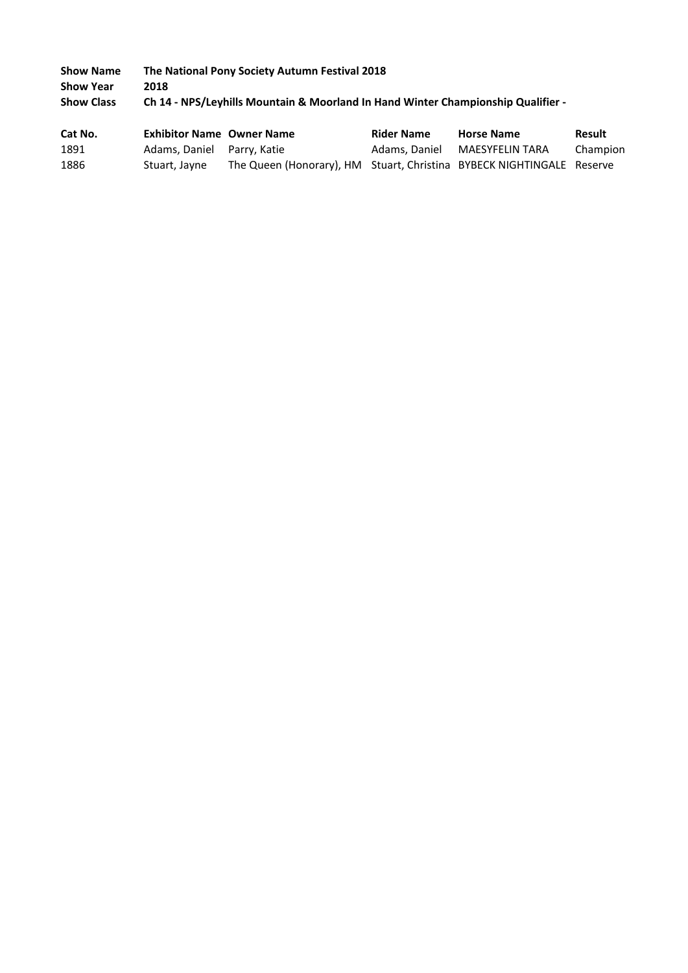| <b>Show Name</b>  | The National Pony Society Autumn Festival 2018                                   |
|-------------------|----------------------------------------------------------------------------------|
| <b>Show Year</b>  | 2018                                                                             |
| <b>Show Class</b> | Ch 14 - NPS/Leyhills Mountain & Moorland In Hand Winter Championship Qualifier - |
|                   |                                                                                  |

| Cat No. | <b>Exhibitor Name Owner Name</b> |                                                                       | <b>Rider Name</b> | <b>Horse Name</b>             | Result   |
|---------|----------------------------------|-----------------------------------------------------------------------|-------------------|-------------------------------|----------|
| 1891    | Adams, Daniel Parry, Katie       |                                                                       |                   | Adams. Daniel MAESYFELIN TARA | Champion |
| 1886    | Stuart, Jayne                    | The Queen (Honorary), HM Stuart, Christina BYBECK NIGHTINGALE Reserve |                   |                               |          |